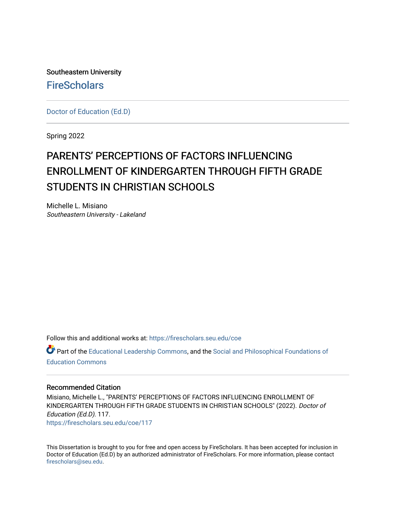Southeastern University **FireScholars** 

[Doctor of Education \(Ed.D\)](https://firescholars.seu.edu/coe) 

Spring 2022

# PARENTS' PERCEPTIONS OF FACTORS INFLUENCING ENROLLMENT OF KINDERGARTEN THROUGH FIFTH GRADE STUDENTS IN CHRISTIAN SCHOOLS

Michelle L. Misiano Southeastern University - Lakeland

Follow this and additional works at: [https://firescholars.seu.edu/coe](https://firescholars.seu.edu/coe?utm_source=firescholars.seu.edu%2Fcoe%2F117&utm_medium=PDF&utm_campaign=PDFCoverPages)

Part of the [Educational Leadership Commons,](http://network.bepress.com/hgg/discipline/1230?utm_source=firescholars.seu.edu%2Fcoe%2F117&utm_medium=PDF&utm_campaign=PDFCoverPages) and the [Social and Philosophical Foundations of](http://network.bepress.com/hgg/discipline/799?utm_source=firescholars.seu.edu%2Fcoe%2F117&utm_medium=PDF&utm_campaign=PDFCoverPages)  [Education Commons](http://network.bepress.com/hgg/discipline/799?utm_source=firescholars.seu.edu%2Fcoe%2F117&utm_medium=PDF&utm_campaign=PDFCoverPages) 

#### Recommended Citation

Misiano, Michelle L., "PARENTS' PERCEPTIONS OF FACTORS INFLUENCING ENROLLMENT OF KINDERGARTEN THROUGH FIFTH GRADE STUDENTS IN CHRISTIAN SCHOOLS" (2022). Doctor of Education (Ed.D). 117. [https://firescholars.seu.edu/coe/117](https://firescholars.seu.edu/coe/117?utm_source=firescholars.seu.edu%2Fcoe%2F117&utm_medium=PDF&utm_campaign=PDFCoverPages) 

This Dissertation is brought to you for free and open access by FireScholars. It has been accepted for inclusion in Doctor of Education (Ed.D) by an authorized administrator of FireScholars. For more information, please contact [firescholars@seu.edu.](mailto:firescholars@seu.edu)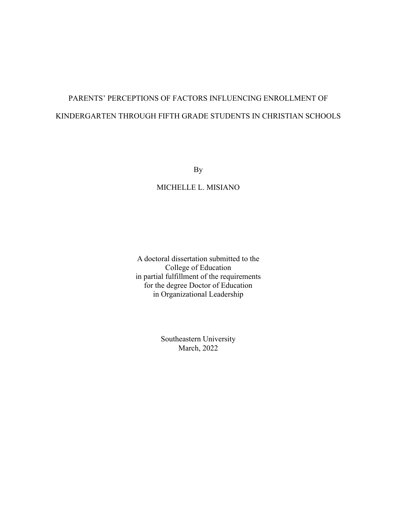## PARENTS' PERCEPTIONS OF FACTORS INFLUENCING ENROLLMENT OF KINDERGARTEN THROUGH FIFTH GRADE STUDENTS IN CHRISTIAN SCHOOLS

By

MICHELLE L. MISIANO

A doctoral dissertation submitted to the College of Education in partial fulfillment of the requirements for the degree Doctor of Education in Organizational Leadership

> Southeastern University March, 2022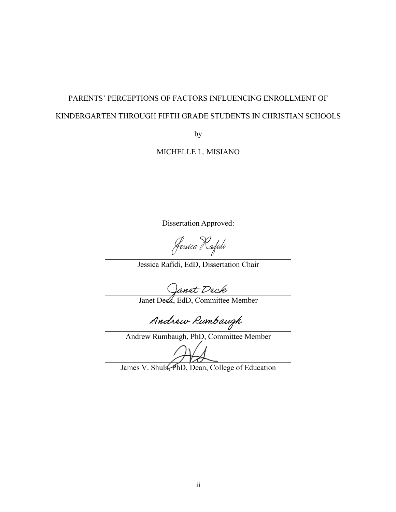## PARENTS' PERCEPTIONS OF FACTORS INFLUENCING ENROLLMENT OF KINDERGARTEN THROUGH FIFTH GRADE STUDENTS IN CHRISTIAN SCHOOLS

by

MICHELLE L. MISIANO

Dissertation Approved:

Jessica Rafidi

Jessica Rafidi, EdD, Dissertation Chair

Janet Deck<br>Janet Deck, EdD, Committee Member

Andrew Rumbaugh

Andrew Rumbaugh, PhD, Committee Member

James V. Shuls, PhD, Dean, College of Education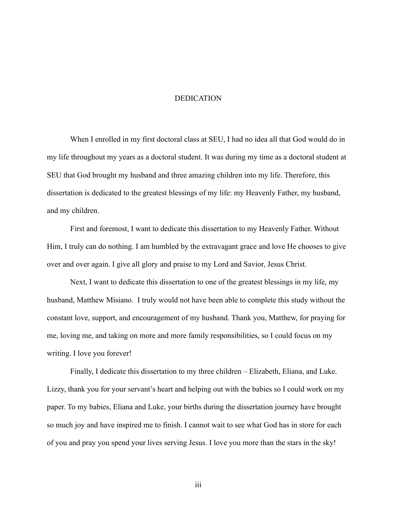#### DEDICATION

When I enrolled in my first doctoral class at SEU, I had no idea all that God would do in my life throughout my years as a doctoral student. It was during my time as a doctoral student at SEU that God brought my husband and three amazing children into my life. Therefore, this dissertation is dedicated to the greatest blessings of my life: my Heavenly Father, my husband, and my children.

First and foremost, I want to dedicate this dissertation to my Heavenly Father. Without Him, I truly can do nothing. I am humbled by the extravagant grace and love He chooses to give over and over again. I give all glory and praise to my Lord and Savior, Jesus Christ.

Next, I want to dedicate this dissertation to one of the greatest blessings in my life, my husband, Matthew Misiano. I truly would not have been able to complete this study without the constant love, support, and encouragement of my husband. Thank you, Matthew, for praying for me, loving me, and taking on more and more family responsibilities, so I could focus on my writing. I love you forever!

Finally, I dedicate this dissertation to my three children – Elizabeth, Eliana, and Luke. Lizzy, thank you for your servant's heart and helping out with the babies so I could work on my paper. To my babies, Eliana and Luke, your births during the dissertation journey have brought so much joy and have inspired me to finish. I cannot wait to see what God has in store for each of you and pray you spend your lives serving Jesus. I love you more than the stars in the sky!

iii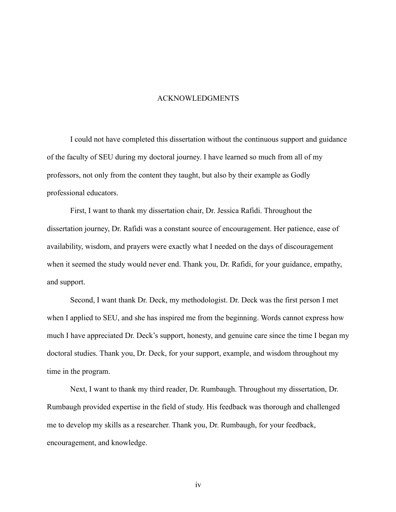#### ACKNOWLEDGMENTS

I could not have completed this dissertation without the continuous support and guidance of the faculty of SEU during my doctoral journey. I have learned so much from all of my professors, not only from the content they taught, but also by their example as Godly professional educators.

First, I want to thank my dissertation chair, Dr. Jessica Rafidi. Throughout the dissertation journey, Dr. Rafidi was a constant source of encouragement. Her patience, ease of availability, wisdom, and prayers were exactly what I needed on the days of discouragement when it seemed the study would never end. Thank you, Dr. Rafidi, for your guidance, empathy, and support.

Second, I want thank Dr. Deck, my methodologist. Dr. Deck was the first person I met when I applied to SEU, and she has inspired me from the beginning. Words cannot express how much I have appreciated Dr. Deck's support, honesty, and genuine care since the time I began my doctoral studies. Thank you, Dr. Deck, for your support, example, and wisdom throughout my time in the program.

Next, I want to thank my third reader, Dr. Rumbaugh. Throughout my dissertation, Dr. Rumbaugh provided expertise in the field of study. His feedback was thorough and challenged me to develop my skills as a researcher. Thank you, Dr. Rumbaugh, for your feedback, encouragement, and knowledge.

iv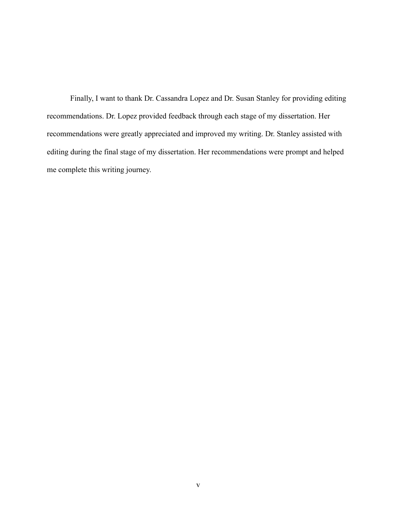Finally, I want to thank Dr. Cassandra Lopez and Dr. Susan Stanley for providing editing recommendations. Dr. Lopez provided feedback through each stage of my dissertation. Her recommendations were greatly appreciated and improved my writing. Dr. Stanley assisted with editing during the final stage of my dissertation. Her recommendations were prompt and helped me complete this writing journey.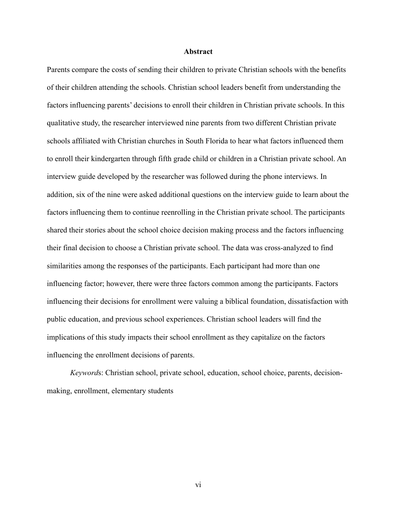#### **Abstract**

Parents compare the costs of sending their children to private Christian schools with the benefits of their children attending the schools. Christian school leaders benefit from understanding the factors influencing parents' decisions to enroll their children in Christian private schools. In this qualitative study, the researcher interviewed nine parents from two different Christian private schools affiliated with Christian churches in South Florida to hear what factors influenced them to enroll their kindergarten through fifth grade child or children in a Christian private school. An interview guide developed by the researcher was followed during the phone interviews. In addition, six of the nine were asked additional questions on the interview guide to learn about the factors influencing them to continue reenrolling in the Christian private school. The participants shared their stories about the school choice decision making process and the factors influencing their final decision to choose a Christian private school. The data was cross-analyzed to find similarities among the responses of the participants. Each participant had more than one influencing factor; however, there were three factors common among the participants. Factors influencing their decisions for enrollment were valuing a biblical foundation, dissatisfaction with public education, and previous school experiences. Christian school leaders will find the implications of this study impacts their school enrollment as they capitalize on the factors influencing the enrollment decisions of parents.

*Keyword*s: Christian school, private school, education, school choice, parents, decisionmaking, enrollment, elementary students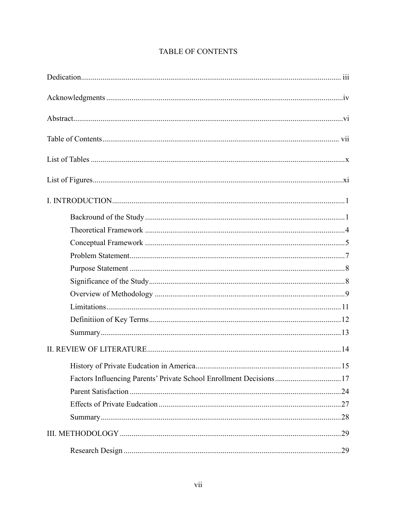| Factors Influencing Parents' Private School Enrollment Decisions17 |
|--------------------------------------------------------------------|
|                                                                    |
|                                                                    |
|                                                                    |
|                                                                    |
|                                                                    |

## TABLE OF CONTENTS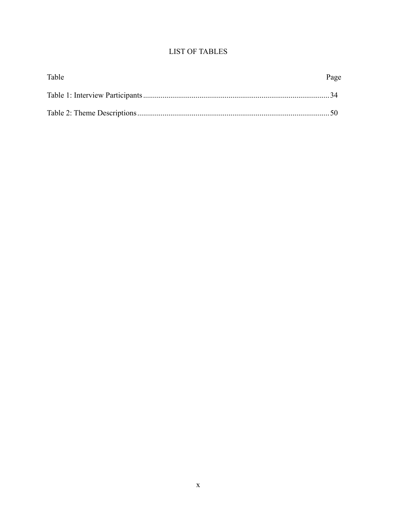### **LIST OF TABLES**

| Table | Page |
|-------|------|
|       |      |
|       |      |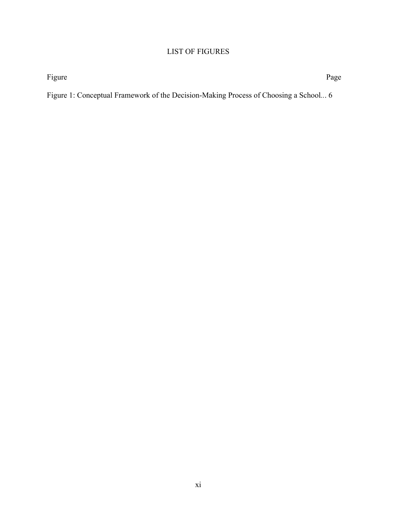### LIST OF FIGURES

Figure Page

Figure 1: Conceptual Framework of the Decision-Making Process of Choosing a School*..*. 6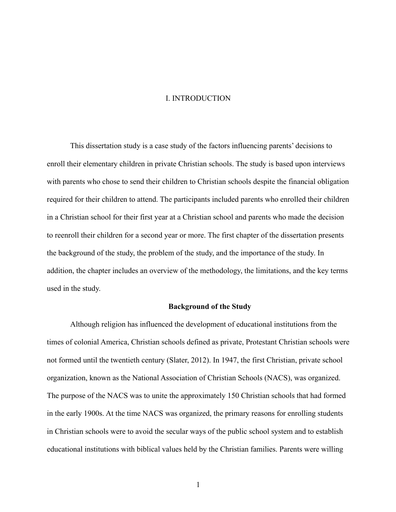#### I. INTRODUCTION

This dissertation study is a case study of the factors influencing parents' decisions to enroll their elementary children in private Christian schools. The study is based upon interviews with parents who chose to send their children to Christian schools despite the financial obligation required for their children to attend. The participants included parents who enrolled their children in a Christian school for their first year at a Christian school and parents who made the decision to reenroll their children for a second year or more. The first chapter of the dissertation presents the background of the study, the problem of the study, and the importance of the study. In addition, the chapter includes an overview of the methodology, the limitations, and the key terms used in the study.

#### **Background of the Study**

Although religion has influenced the development of educational institutions from the times of colonial America, Christian schools defined as private, Protestant Christian schools were not formed until the twentieth century (Slater, 2012). In 1947, the first Christian, private school organization, known as the National Association of Christian Schools (NACS), was organized. The purpose of the NACS was to unite the approximately 150 Christian schools that had formed in the early 1900s. At the time NACS was organized, the primary reasons for enrolling students in Christian schools were to avoid the secular ways of the public school system and to establish educational institutions with biblical values held by the Christian families. Parents were willing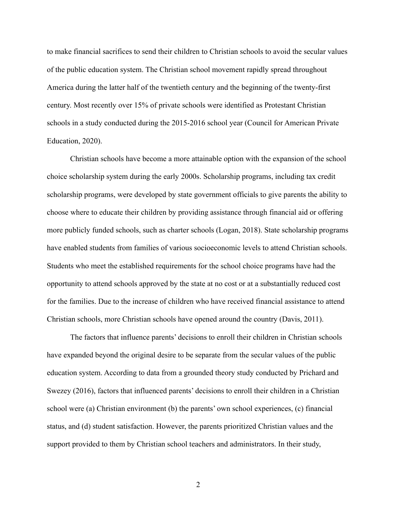to make financial sacrifices to send their children to Christian schools to avoid the secular values of the public education system. The Christian school movement rapidly spread throughout America during the latter half of the twentieth century and the beginning of the twenty-first century. Most recently over 15% of private schools were identified as Protestant Christian schools in a study conducted during the 2015-2016 school year (Council for American Private Education, 2020).

Christian schools have become a more attainable option with the expansion of the school choice scholarship system during the early 2000s. Scholarship programs, including tax credit scholarship programs, were developed by state government officials to give parents the ability to choose where to educate their children by providing assistance through financial aid or offering more publicly funded schools, such as charter schools (Logan, 2018). State scholarship programs have enabled students from families of various socioeconomic levels to attend Christian schools. Students who meet the established requirements for the school choice programs have had the opportunity to attend schools approved by the state at no cost or at a substantially reduced cost for the families. Due to the increase of children who have received financial assistance to attend Christian schools, more Christian schools have opened around the country (Davis, 2011).

The factors that influence parents' decisions to enroll their children in Christian schools have expanded beyond the original desire to be separate from the secular values of the public education system. According to data from a grounded theory study conducted by Prichard and Swezey (2016), factors that influenced parents' decisions to enroll their children in a Christian school were (a) Christian environment (b) the parents' own school experiences, (c) financial status, and (d) student satisfaction. However, the parents prioritized Christian values and the support provided to them by Christian school teachers and administrators. In their study,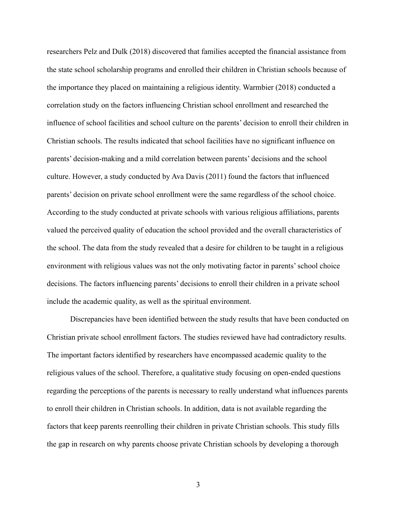researchers Pelz and Dulk (2018) discovered that families accepted the financial assistance from the state school scholarship programs and enrolled their children in Christian schools because of the importance they placed on maintaining a religious identity. Warmbier (2018) conducted a correlation study on the factors influencing Christian school enrollment and researched the influence of school facilities and school culture on the parents' decision to enroll their children in Christian schools. The results indicated that school facilities have no significant influence on parents' decision-making and a mild correlation between parents' decisions and the school culture. However, a study conducted by Ava Davis (2011) found the factors that influenced parents' decision on private school enrollment were the same regardless of the school choice. According to the study conducted at private schools with various religious affiliations, parents valued the perceived quality of education the school provided and the overall characteristics of the school. The data from the study revealed that a desire for children to be taught in a religious environment with religious values was not the only motivating factor in parents' school choice decisions. The factors influencing parents' decisions to enroll their children in a private school include the academic quality, as well as the spiritual environment.

Discrepancies have been identified between the study results that have been conducted on Christian private school enrollment factors. The studies reviewed have had contradictory results. The important factors identified by researchers have encompassed academic quality to the religious values of the school. Therefore, a qualitative study focusing on open-ended questions regarding the perceptions of the parents is necessary to really understand what influences parents to enroll their children in Christian schools. In addition, data is not available regarding the factors that keep parents reenrolling their children in private Christian schools. This study fills the gap in research on why parents choose private Christian schools by developing a thorough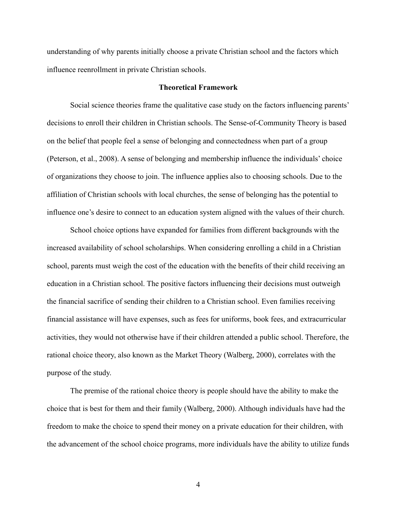understanding of why parents initially choose a private Christian school and the factors which influence reenrollment in private Christian schools.

#### **Theoretical Framework**

Social science theories frame the qualitative case study on the factors influencing parents' decisions to enroll their children in Christian schools. The Sense-of-Community Theory is based on the belief that people feel a sense of belonging and connectedness when part of a group (Peterson, et al., 2008). A sense of belonging and membership influence the individuals' choice of organizations they choose to join. The influence applies also to choosing schools. Due to the affiliation of Christian schools with local churches, the sense of belonging has the potential to influence one's desire to connect to an education system aligned with the values of their church.

School choice options have expanded for families from different backgrounds with the increased availability of school scholarships. When considering enrolling a child in a Christian school, parents must weigh the cost of the education with the benefits of their child receiving an education in a Christian school. The positive factors influencing their decisions must outweigh the financial sacrifice of sending their children to a Christian school. Even families receiving financial assistance will have expenses, such as fees for uniforms, book fees, and extracurricular activities, they would not otherwise have if their children attended a public school. Therefore, the rational choice theory, also known as the Market Theory (Walberg, 2000), correlates with the purpose of the study.

The premise of the rational choice theory is people should have the ability to make the choice that is best for them and their family (Walberg, 2000). Although individuals have had the freedom to make the choice to spend their money on a private education for their children, with the advancement of the school choice programs, more individuals have the ability to utilize funds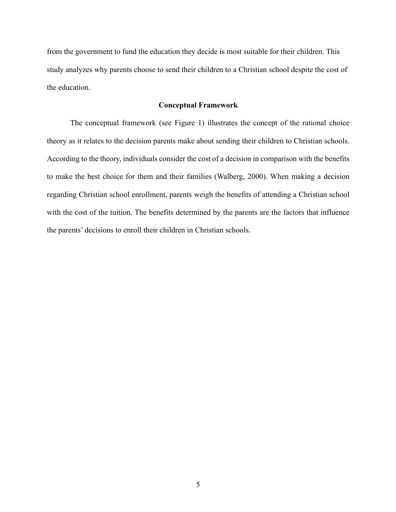from the government to fund the education they decide is most suitable for their children. This study analyzes why parents choose to send their children to a Christian school despite the cost of the education.

#### **Conceptual Framework**

The conceptual framework (see Figure 1) illustrates the concept of the rational choice theory as it relates to the decision parents make about sending their children to Christian schools. According to the theory, individuals consider the cost of a decision in comparison with the benefits to make the best choice for them and their families (Walberg, 2000). When making a decision regarding Christian school enrollment, parents weigh the benefits of attending a Christian school with the cost of the tuition. The benefits determined by the parents are the factors that influence the parents' decisions to enroll their children in Christian schools.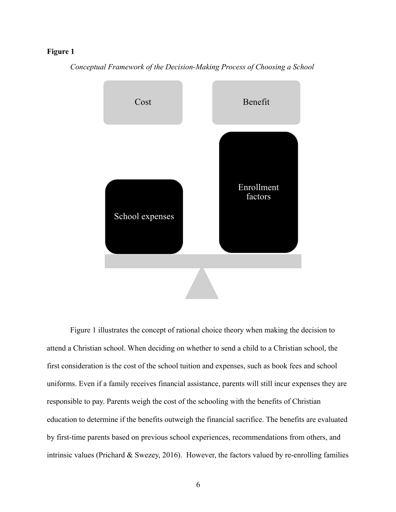#### **Figure 1**





Figure 1 illustrates the concept of rational choice theory when making the decision to attend a Christian school. When deciding on whether to send a child to a Christian school, the first consideration is the cost of the school tuition and expenses, such as book fees and school uniforms. Even if a family receives financial assistance, parents will still incur expenses they are responsible to pay. Parents weigh the cost of the schooling with the benefits of Christian education to determine if the benefits outweigh the financial sacrifice. The benefits are evaluated by first-time parents based on previous school experiences, recommendations from others, and intrinsic values (Prichard & Swezey, 2016). However, the factors valued by re-enrolling families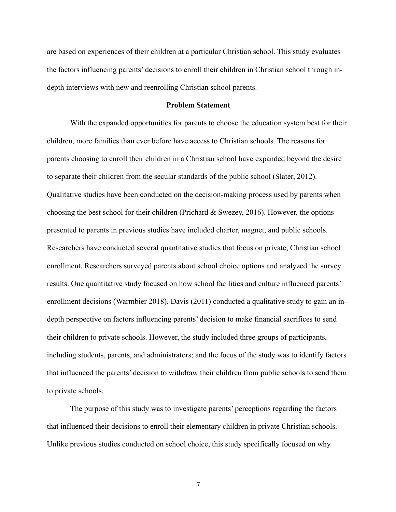are based on experiences of their children at a particular Christian school. This study evaluates the factors influencing parents' decisions to enroll their children in Christian school through indepth interviews with new and reenrolling Christian school parents.

#### **Problem Statement**

With the expanded opportunities for parents to choose the education system best for their children, more families than ever before have access to Christian schools. The reasons for parents choosing to enroll their children in a Christian school have expanded beyond the desire to separate their children from the secular standards of the public school (Slater, 2012). Qualitative studies have been conducted on the decision-making process used by parents when choosing the best school for their children (Prichard & Swezey, 2016). However, the options presented to parents in previous studies have included charter, magnet, and public schools. Researchers have conducted several quantitative studies that focus on private, Christian school enrollment. Researchers surveyed parents about school choice options and analyzed the survey results. One quantitative study focused on how school facilities and culture influenced parents' enrollment decisions (Warmbier 2018). Davis (2011) conducted a qualitative study to gain an indepth perspective on factors influencing parents' decision to make financial sacrifices to send their children to private schools. However, the study included three groups of participants, including students, parents, and administrators; and the focus of the study was to identify factors that influenced the parents' decision to withdraw their children from public schools to send them to private schools.

The purpose of this study was to investigate parents' perceptions regarding the factors that influenced their decisions to enroll their elementary children in private Christian schools. Unlike previous studies conducted on school choice, this study specifically focused on why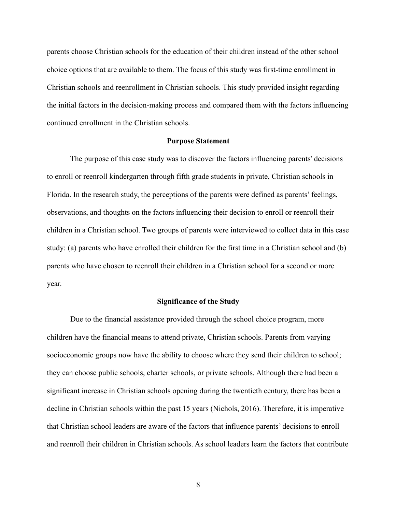parents choose Christian schools for the education of their children instead of the other school choice options that are available to them. The focus of this study was first-time enrollment in Christian schools and reenrollment in Christian schools. This study provided insight regarding the initial factors in the decision-making process and compared them with the factors influencing continued enrollment in the Christian schools.

#### **Purpose Statement**

The purpose of this case study was to discover the factors influencing parents' decisions to enroll or reenroll kindergarten through fifth grade students in private, Christian schools in Florida. In the research study, the perceptions of the parents were defined as parents' feelings, observations, and thoughts on the factors influencing their decision to enroll or reenroll their children in a Christian school. Two groups of parents were interviewed to collect data in this case study: (a) parents who have enrolled their children for the first time in a Christian school and (b) parents who have chosen to reenroll their children in a Christian school for a second or more year.

#### **Significance of the Study**

Due to the financial assistance provided through the school choice program, more children have the financial means to attend private, Christian schools. Parents from varying socioeconomic groups now have the ability to choose where they send their children to school; they can choose public schools, charter schools, or private schools. Although there had been a significant increase in Christian schools opening during the twentieth century, there has been a decline in Christian schools within the past 15 years (Nichols, 2016). Therefore, it is imperative that Christian school leaders are aware of the factors that influence parents' decisions to enroll and reenroll their children in Christian schools. As school leaders learn the factors that contribute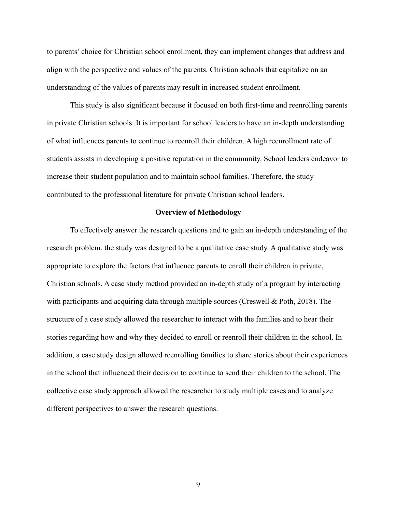to parents' choice for Christian school enrollment, they can implement changes that address and align with the perspective and values of the parents. Christian schools that capitalize on an understanding of the values of parents may result in increased student enrollment.

This study is also significant because it focused on both first-time and reenrolling parents in private Christian schools. It is important for school leaders to have an in-depth understanding of what influences parents to continue to reenroll their children. A high reenrollment rate of students assists in developing a positive reputation in the community. School leaders endeavor to increase their student population and to maintain school families. Therefore, the study contributed to the professional literature for private Christian school leaders.

#### **Overview of Methodology**

To effectively answer the research questions and to gain an in-depth understanding of the research problem, the study was designed to be a qualitative case study. A qualitative study was appropriate to explore the factors that influence parents to enroll their children in private, Christian schools. A case study method provided an in-depth study of a program by interacting with participants and acquiring data through multiple sources (Creswell & Poth, 2018). The structure of a case study allowed the researcher to interact with the families and to hear their stories regarding how and why they decided to enroll or reenroll their children in the school. In addition, a case study design allowed reenrolling families to share stories about their experiences in the school that influenced their decision to continue to send their children to the school. The collective case study approach allowed the researcher to study multiple cases and to analyze different perspectives to answer the research questions.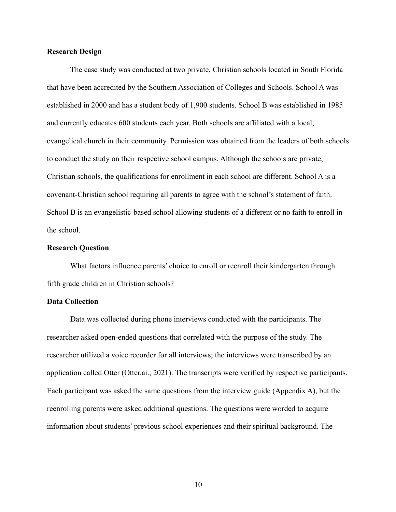#### **Research Design**

The case study was conducted at two private, Christian schools located in South Florida that have been accredited by the Southern Association of Colleges and Schools. School A was established in 2000 and has a student body of 1,900 students. School B was established in 1985 and currently educates 600 students each year. Both schools are affiliated with a local, evangelical church in their community. Permission was obtained from the leaders of both schools to conduct the study on their respective school campus. Although the schools are private, Christian schools, the qualifications for enrollment in each school are different. School A is a covenant-Christian school requiring all parents to agree with the school's statement of faith. School B is an evangelistic-based school allowing students of a different or no faith to enroll in the school.

#### **Research Question**

What factors influence parents' choice to enroll or reenroll their kindergarten through fifth grade children in Christian schools?

#### **Data Collection**

Data was collected during phone interviews conducted with the participants. The researcher asked open-ended questions that correlated with the purpose of the study. The researcher utilized a voice recorder for all interviews; the interviews were transcribed by an application called Otter (Otter.ai., 2021). The transcripts were verified by respective participants. Each participant was asked the same questions from the interview guide (Appendix A), but the reenrolling parents were asked additional questions. The questions were worded to acquire information about students' previous school experiences and their spiritual background. The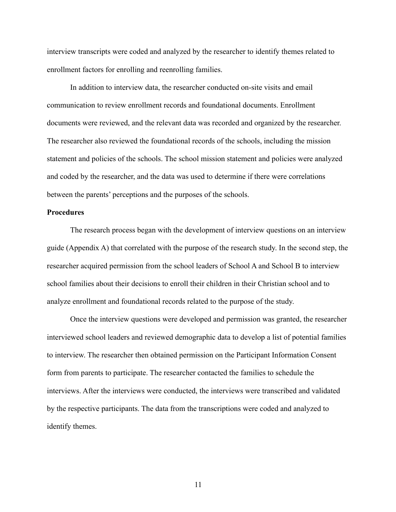interview transcripts were coded and analyzed by the researcher to identify themes related to enrollment factors for enrolling and reenrolling families.

In addition to interview data, the researcher conducted on-site visits and email communication to review enrollment records and foundational documents. Enrollment documents were reviewed, and the relevant data was recorded and organized by the researcher. The researcher also reviewed the foundational records of the schools, including the mission statement and policies of the schools. The school mission statement and policies were analyzed and coded by the researcher, and the data was used to determine if there were correlations between the parents' perceptions and the purposes of the schools.

#### **Procedures**

The research process began with the development of interview questions on an interview guide (Appendix A) that correlated with the purpose of the research study. In the second step, the researcher acquired permission from the school leaders of School A and School B to interview school families about their decisions to enroll their children in their Christian school and to analyze enrollment and foundational records related to the purpose of the study.

Once the interview questions were developed and permission was granted, the researcher interviewed school leaders and reviewed demographic data to develop a list of potential families to interview. The researcher then obtained permission on the Participant Information Consent form from parents to participate. The researcher contacted the families to schedule the interviews. After the interviews were conducted, the interviews were transcribed and validated by the respective participants. The data from the transcriptions were coded and analyzed to identify themes.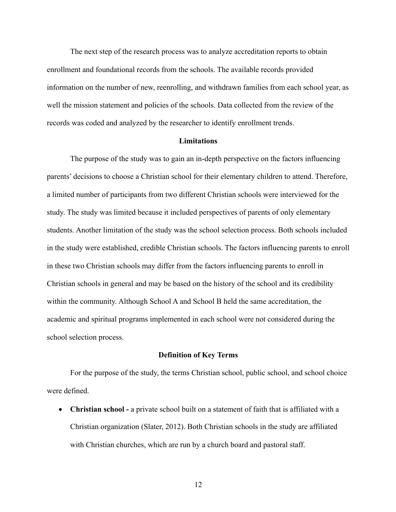The next step of the research process was to analyze accreditation reports to obtain enrollment and foundational records from the schools. The available records provided information on the number of new, reenrolling, and withdrawn families from each school year, as well the mission statement and policies of the schools. Data collected from the review of the records was coded and analyzed by the researcher to identify enrollment trends.

#### **Limitations**

The purpose of the study was to gain an in-depth perspective on the factors influencing parents' decisions to choose a Christian school for their elementary children to attend. Therefore, a limited number of participants from two different Christian schools were interviewed for the study. The study was limited because it included perspectives of parents of only elementary students. Another limitation of the study was the school selection process. Both schools included in the study were established, credible Christian schools. The factors influencing parents to enroll in these two Christian schools may differ from the factors influencing parents to enroll in Christian schools in general and may be based on the history of the school and its credibility within the community. Although School A and School B held the same accreditation, the academic and spiritual programs implemented in each school were not considered during the school selection process.

#### **Definition of Key Terms**

For the purpose of the study, the terms Christian school, public school, and school choice were defined.

• **Christian school -** a private school built on a statement of faith that is affiliated with a Christian organization (Slater, 2012). Both Christian schools in the study are affiliated with Christian churches, which are run by a church board and pastoral staff.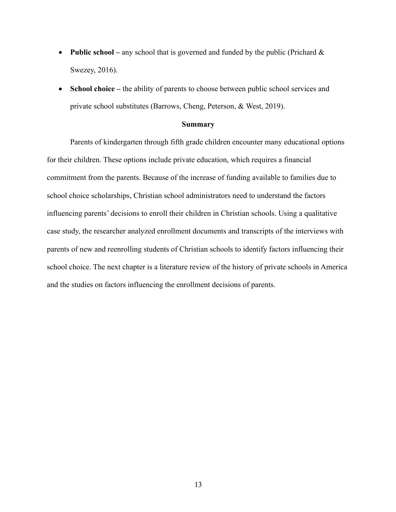- **Public school** any school that is governed and funded by the public (Prichard & Swezey, 2016).
- **School choice** the ability of parents to choose between public school services and private school substitutes (Barrows, Cheng, Peterson, & West, 2019).

#### **Summary**

Parents of kindergarten through fifth grade children encounter many educational options for their children. These options include private education, which requires a financial commitment from the parents. Because of the increase of funding available to families due to school choice scholarships, Christian school administrators need to understand the factors influencing parents' decisions to enroll their children in Christian schools. Using a qualitative case study, the researcher analyzed enrollment documents and transcripts of the interviews with parents of new and reenrolling students of Christian schools to identify factors influencing their school choice. The next chapter is a literature review of the history of private schools in America and the studies on factors influencing the enrollment decisions of parents.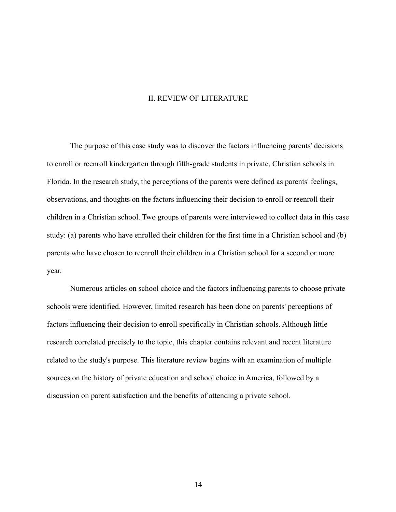#### II. REVIEW OF LITERATURE

The purpose of this case study was to discover the factors influencing parents' decisions to enroll or reenroll kindergarten through fifth-grade students in private, Christian schools in Florida. In the research study, the perceptions of the parents were defined as parents' feelings, observations, and thoughts on the factors influencing their decision to enroll or reenroll their children in a Christian school. Two groups of parents were interviewed to collect data in this case study: (a) parents who have enrolled their children for the first time in a Christian school and (b) parents who have chosen to reenroll their children in a Christian school for a second or more year.

Numerous articles on school choice and the factors influencing parents to choose private schools were identified. However, limited research has been done on parents' perceptions of factors influencing their decision to enroll specifically in Christian schools. Although little research correlated precisely to the topic, this chapter contains relevant and recent literature related to the study's purpose. This literature review begins with an examination of multiple sources on the history of private education and school choice in America, followed by a discussion on parent satisfaction and the benefits of attending a private school.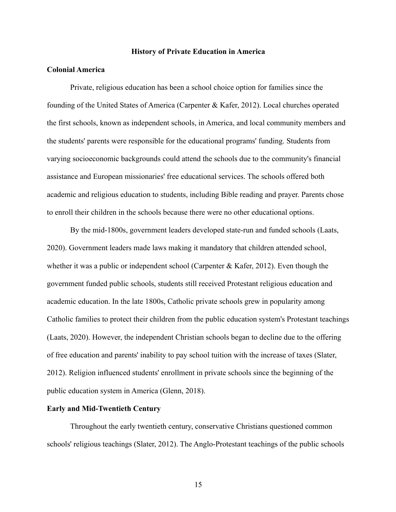#### **History of Private Education in America**

#### **Colonial America**

Private, religious education has been a school choice option for families since the founding of the United States of America (Carpenter & Kafer, 2012). Local churches operated the first schools, known as independent schools, in America, and local community members and the students' parents were responsible for the educational programs' funding. Students from varying socioeconomic backgrounds could attend the schools due to the community's financial assistance and European missionaries' free educational services. The schools offered both academic and religious education to students, including Bible reading and prayer. Parents chose to enroll their children in the schools because there were no other educational options.

By the mid-1800s, government leaders developed state-run and funded schools (Laats, 2020). Government leaders made laws making it mandatory that children attended school, whether it was a public or independent school (Carpenter & Kafer, 2012). Even though the government funded public schools, students still received Protestant religious education and academic education. In the late 1800s, Catholic private schools grew in popularity among Catholic families to protect their children from the public education system's Protestant teachings (Laats, 2020). However, the independent Christian schools began to decline due to the offering of free education and parents' inability to pay school tuition with the increase of taxes (Slater, 2012). Religion influenced students' enrollment in private schools since the beginning of the public education system in America (Glenn, 2018).

#### **Early and Mid-Twentieth Century**

Throughout the early twentieth century, conservative Christians questioned common schools' religious teachings (Slater, 2012). The Anglo-Protestant teachings of the public schools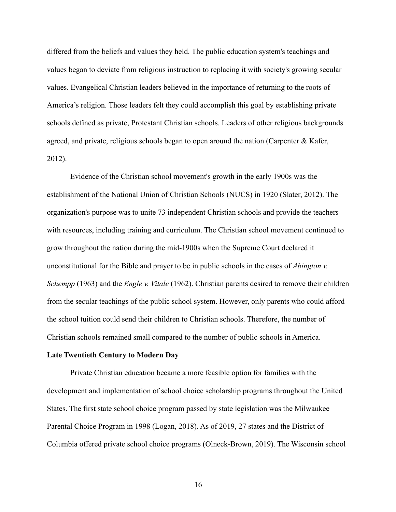differed from the beliefs and values they held. The public education system's teachings and values began to deviate from religious instruction to replacing it with society's growing secular values. Evangelical Christian leaders believed in the importance of returning to the roots of America's religion. Those leaders felt they could accomplish this goal by establishing private schools defined as private, Protestant Christian schools. Leaders of other religious backgrounds agreed, and private, religious schools began to open around the nation (Carpenter & Kafer, 2012).

Evidence of the Christian school movement's growth in the early 1900s was the establishment of the National Union of Christian Schools (NUCS) in 1920 (Slater, 2012). The organization's purpose was to unite 73 independent Christian schools and provide the teachers with resources, including training and curriculum. The Christian school movement continued to grow throughout the nation during the mid-1900s when the Supreme Court declared it unconstitutional for the Bible and prayer to be in public schools in the cases of *Abington v. Schempp* (1963) and the *Engle v. Vitale* (1962). Christian parents desired to remove their children from the secular teachings of the public school system. However, only parents who could afford the school tuition could send their children to Christian schools. Therefore, the number of Christian schools remained small compared to the number of public schools in America.

#### **Late Twentieth Century to Modern Day**

Private Christian education became a more feasible option for families with the development and implementation of school choice scholarship programs throughout the United States. The first state school choice program passed by state legislation was the Milwaukee Parental Choice Program in 1998 (Logan, 2018). As of 2019, 27 states and the District of Columbia offered private school choice programs (Olneck-Brown, 2019). The Wisconsin school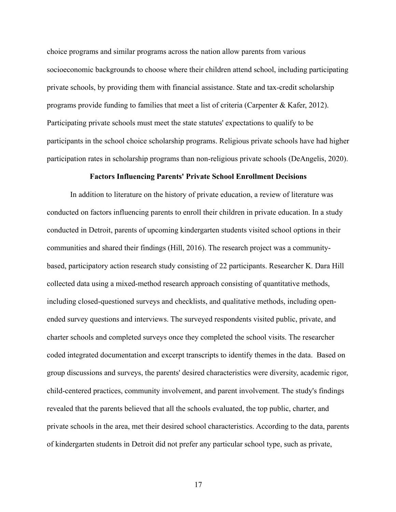choice programs and similar programs across the nation allow parents from various socioeconomic backgrounds to choose where their children attend school, including participating private schools, by providing them with financial assistance. State and tax-credit scholarship programs provide funding to families that meet a list of criteria (Carpenter & Kafer, 2012). Participating private schools must meet the state statutes' expectations to qualify to be participants in the school choice scholarship programs. Religious private schools have had higher participation rates in scholarship programs than non-religious private schools (DeAngelis, 2020).

#### **Factors Influencing Parents' Private School Enrollment Decisions**

In addition to literature on the history of private education, a review of literature was conducted on factors influencing parents to enroll their children in private education. In a study conducted in Detroit, parents of upcoming kindergarten students visited school options in their communities and shared their findings (Hill, 2016). The research project was a communitybased, participatory action research study consisting of 22 participants. Researcher K. Dara Hill collected data using a mixed-method research approach consisting of quantitative methods, including closed-questioned surveys and checklists, and qualitative methods, including openended survey questions and interviews. The surveyed respondents visited public, private, and charter schools and completed surveys once they completed the school visits. The researcher coded integrated documentation and excerpt transcripts to identify themes in the data. Based on group discussions and surveys, the parents' desired characteristics were diversity, academic rigor, child-centered practices, community involvement, and parent involvement. The study's findings revealed that the parents believed that all the schools evaluated, the top public, charter, and private schools in the area, met their desired school characteristics. According to the data, parents of kindergarten students in Detroit did not prefer any particular school type, such as private,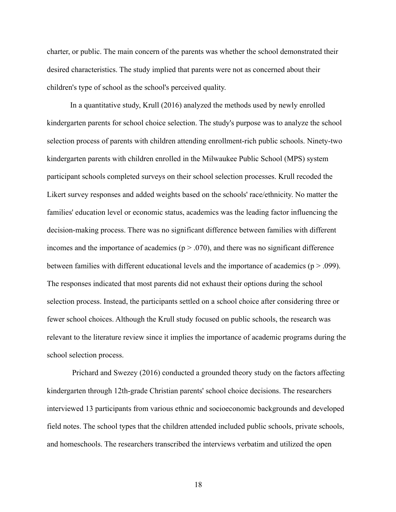charter, or public. The main concern of the parents was whether the school demonstrated their desired characteristics. The study implied that parents were not as concerned about their children's type of school as the school's perceived quality.

In a quantitative study, Krull (2016) analyzed the methods used by newly enrolled kindergarten parents for school choice selection. The study's purpose was to analyze the school selection process of parents with children attending enrollment-rich public schools. Ninety-two kindergarten parents with children enrolled in the Milwaukee Public School (MPS) system participant schools completed surveys on their school selection processes. Krull recoded the Likert survey responses and added weights based on the schools' race/ethnicity. No matter the families' education level or economic status, academics was the leading factor influencing the decision-making process. There was no significant difference between families with different incomes and the importance of academics ( $p > .070$ ), and there was no significant difference between families with different educational levels and the importance of academics ( $p > .099$ ). The responses indicated that most parents did not exhaust their options during the school selection process. Instead, the participants settled on a school choice after considering three or fewer school choices. Although the Krull study focused on public schools, the research was relevant to the literature review since it implies the importance of academic programs during the school selection process.

Prichard and Swezey (2016) conducted a grounded theory study on the factors affecting kindergarten through 12th-grade Christian parents' school choice decisions. The researchers interviewed 13 participants from various ethnic and socioeconomic backgrounds and developed field notes. The school types that the children attended included public schools, private schools, and homeschools. The researchers transcribed the interviews verbatim and utilized the open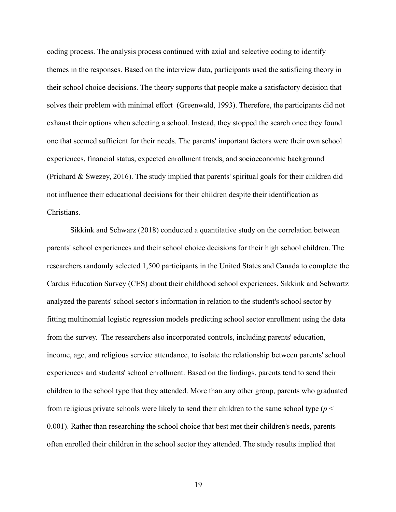coding process. The analysis process continued with axial and selective coding to identify themes in the responses. Based on the interview data, participants used the satisficing theory in their school choice decisions. The theory supports that people make a satisfactory decision that solves their problem with minimal effort (Greenwald, 1993). Therefore, the participants did not exhaust their options when selecting a school. Instead, they stopped the search once they found one that seemed sufficient for their needs. The parents' important factors were their own school experiences, financial status, expected enrollment trends, and socioeconomic background (Prichard & Swezey, 2016). The study implied that parents' spiritual goals for their children did not influence their educational decisions for their children despite their identification as Christians.

Sikkink and Schwarz (2018) conducted a quantitative study on the correlation between parents' school experiences and their school choice decisions for their high school children. The researchers randomly selected 1,500 participants in the United States and Canada to complete the Cardus Education Survey (CES) about their childhood school experiences. Sikkink and Schwartz analyzed the parents' school sector's information in relation to the student's school sector by fitting multinomial logistic regression models predicting school sector enrollment using the data from the survey. The researchers also incorporated controls, including parents' education, income, age, and religious service attendance, to isolate the relationship between parents' school experiences and students' school enrollment. Based on the findings, parents tend to send their children to the school type that they attended. More than any other group, parents who graduated from religious private schools were likely to send their children to the same school type (*p* < 0.001). Rather than researching the school choice that best met their children's needs, parents often enrolled their children in the school sector they attended. The study results implied that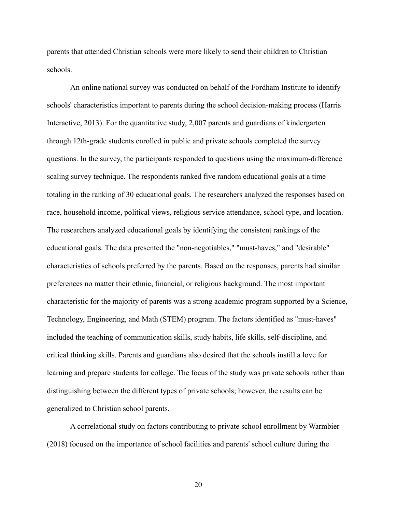parents that attended Christian schools were more likely to send their children to Christian schools.

An online national survey was conducted on behalf of the Fordham Institute to identify schools' characteristics important to parents during the school decision-making process (Harris Interactive, 2013). For the quantitative study, 2,007 parents and guardians of kindergarten through 12th-grade students enrolled in public and private schools completed the survey questions. In the survey, the participants responded to questions using the maximum-difference scaling survey technique. The respondents ranked five random educational goals at a time totaling in the ranking of 30 educational goals. The researchers analyzed the responses based on race, household income, political views, religious service attendance, school type, and location. The researchers analyzed educational goals by identifying the consistent rankings of the educational goals. The data presented the "non-negotiables," "must-haves," and "desirable" characteristics of schools preferred by the parents. Based on the responses, parents had similar preferences no matter their ethnic, financial, or religious background. The most important characteristic for the majority of parents was a strong academic program supported by a Science, Technology, Engineering, and Math (STEM) program. The factors identified as "must-haves" included the teaching of communication skills, study habits, life skills, self-discipline, and critical thinking skills. Parents and guardians also desired that the schools instill a love for learning and prepare students for college. The focus of the study was private schools rather than distinguishing between the different types of private schools; however, the results can be generalized to Christian school parents.

A correlational study on factors contributing to private school enrollment by Warmbier (2018) focused on the importance of school facilities and parents' school culture during the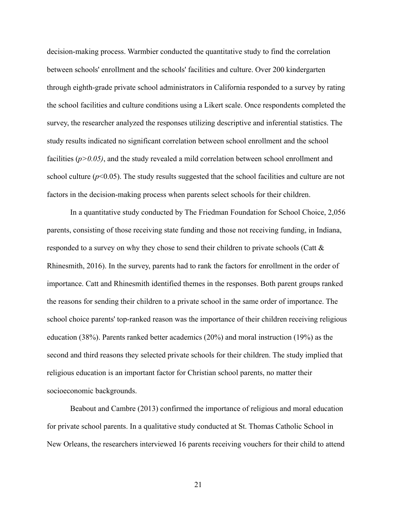decision-making process. Warmbier conducted the quantitative study to find the correlation between schools' enrollment and the schools' facilities and culture. Over 200 kindergarten through eighth-grade private school administrators in California responded to a survey by rating the school facilities and culture conditions using a Likert scale. Once respondents completed the survey, the researcher analyzed the responses utilizing descriptive and inferential statistics. The study results indicated no significant correlation between school enrollment and the school facilities (*p>0.05)*, and the study revealed a mild correlation between school enrollment and school culture  $(p<0.05)$ . The study results suggested that the school facilities and culture are not factors in the decision-making process when parents select schools for their children.

In a quantitative study conducted by The Friedman Foundation for School Choice, 2,056 parents, consisting of those receiving state funding and those not receiving funding, in Indiana, responded to a survey on why they chose to send their children to private schools (Catt & Rhinesmith, 2016). In the survey, parents had to rank the factors for enrollment in the order of importance. Catt and Rhinesmith identified themes in the responses. Both parent groups ranked the reasons for sending their children to a private school in the same order of importance. The school choice parents' top-ranked reason was the importance of their children receiving religious education (38%). Parents ranked better academics (20%) and moral instruction (19%) as the second and third reasons they selected private schools for their children. The study implied that religious education is an important factor for Christian school parents, no matter their socioeconomic backgrounds.

Beabout and Cambre (2013) confirmed the importance of religious and moral education for private school parents. In a qualitative study conducted at St. Thomas Catholic School in New Orleans, the researchers interviewed 16 parents receiving vouchers for their child to attend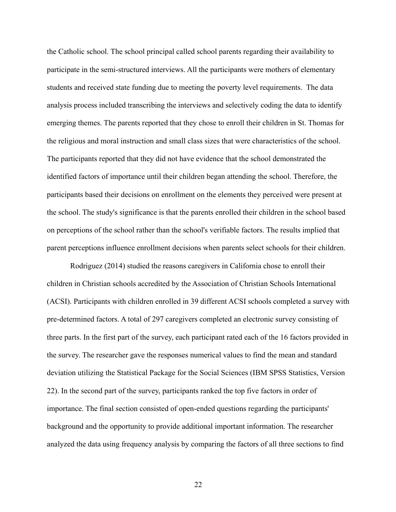the Catholic school. The school principal called school parents regarding their availability to participate in the semi-structured interviews. All the participants were mothers of elementary students and received state funding due to meeting the poverty level requirements. The data analysis process included transcribing the interviews and selectively coding the data to identify emerging themes. The parents reported that they chose to enroll their children in St. Thomas for the religious and moral instruction and small class sizes that were characteristics of the school. The participants reported that they did not have evidence that the school demonstrated the identified factors of importance until their children began attending the school. Therefore, the participants based their decisions on enrollment on the elements they perceived were present at the school. The study's significance is that the parents enrolled their children in the school based on perceptions of the school rather than the school's verifiable factors. The results implied that parent perceptions influence enrollment decisions when parents select schools for their children.

Rodriguez (2014) studied the reasons caregivers in California chose to enroll their children in Christian schools accredited by the Association of Christian Schools International (ACSI). Participants with children enrolled in 39 different ACSI schools completed a survey with pre-determined factors. A total of 297 caregivers completed an electronic survey consisting of three parts. In the first part of the survey, each participant rated each of the 16 factors provided in the survey. The researcher gave the responses numerical values to find the mean and standard deviation utilizing the Statistical Package for the Social Sciences (IBM SPSS Statistics, Version 22). In the second part of the survey, participants ranked the top five factors in order of importance. The final section consisted of open-ended questions regarding the participants' background and the opportunity to provide additional important information. The researcher analyzed the data using frequency analysis by comparing the factors of all three sections to find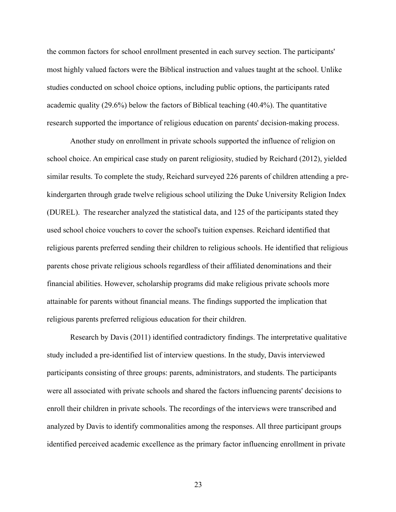the common factors for school enrollment presented in each survey section. The participants' most highly valued factors were the Biblical instruction and values taught at the school. Unlike studies conducted on school choice options, including public options, the participants rated academic quality (29.6%) below the factors of Biblical teaching (40.4%). The quantitative research supported the importance of religious education on parents' decision-making process.

Another study on enrollment in private schools supported the influence of religion on school choice. An empirical case study on parent religiosity, studied by Reichard (2012), yielded similar results. To complete the study, Reichard surveyed 226 parents of children attending a prekindergarten through grade twelve religious school utilizing the Duke University Religion Index (DUREL). The researcher analyzed the statistical data, and 125 of the participants stated they used school choice vouchers to cover the school's tuition expenses. Reichard identified that religious parents preferred sending their children to religious schools. He identified that religious parents chose private religious schools regardless of their affiliated denominations and their financial abilities. However, scholarship programs did make religious private schools more attainable for parents without financial means. The findings supported the implication that religious parents preferred religious education for their children.

Research by Davis (2011) identified contradictory findings. The interpretative qualitative study included a pre-identified list of interview questions. In the study, Davis interviewed participants consisting of three groups: parents, administrators, and students. The participants were all associated with private schools and shared the factors influencing parents' decisions to enroll their children in private schools. The recordings of the interviews were transcribed and analyzed by Davis to identify commonalities among the responses. All three participant groups identified perceived academic excellence as the primary factor influencing enrollment in private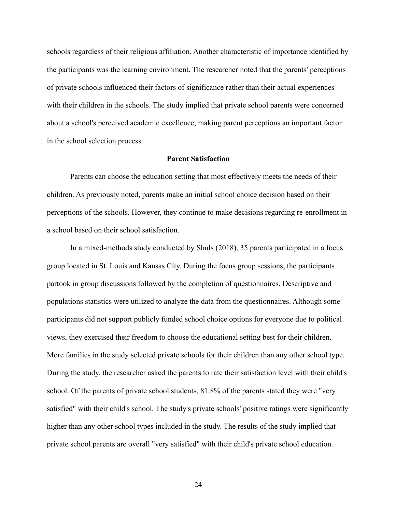schools regardless of their religious affiliation. Another characteristic of importance identified by the participants was the learning environment. The researcher noted that the parents' perceptions of private schools influenced their factors of significance rather than their actual experiences with their children in the schools. The study implied that private school parents were concerned about a school's perceived academic excellence, making parent perceptions an important factor in the school selection process.

#### **Parent Satisfaction**

Parents can choose the education setting that most effectively meets the needs of their children. As previously noted, parents make an initial school choice decision based on their perceptions of the schools. However, they continue to make decisions regarding re-enrollment in a school based on their school satisfaction.

In a mixed-methods study conducted by Shuls (2018), 35 parents participated in a focus group located in St. Louis and Kansas City. During the focus group sessions, the participants partook in group discussions followed by the completion of questionnaires. Descriptive and populations statistics were utilized to analyze the data from the questionnaires. Although some participants did not support publicly funded school choice options for everyone due to political views, they exercised their freedom to choose the educational setting best for their children. More families in the study selected private schools for their children than any other school type. During the study, the researcher asked the parents to rate their satisfaction level with their child's school. Of the parents of private school students, 81.8% of the parents stated they were "very satisfied" with their child's school. The study's private schools' positive ratings were significantly higher than any other school types included in the study. The results of the study implied that private school parents are overall "very satisfied" with their child's private school education.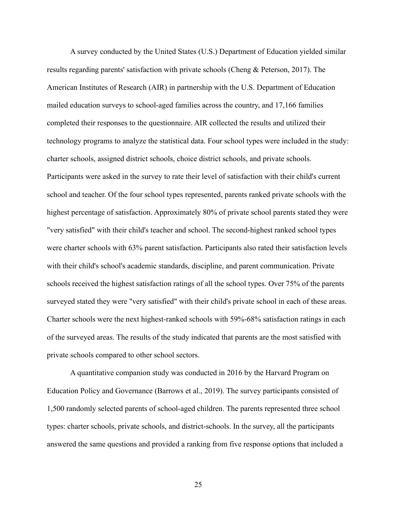A survey conducted by the United States (U.S.) Department of Education yielded similar results regarding parents' satisfaction with private schools (Cheng & Peterson, 2017). The American Institutes of Research (AIR) in partnership with the U.S. Department of Education mailed education surveys to school-aged families across the country, and 17,166 families completed their responses to the questionnaire. AIR collected the results and utilized their technology programs to analyze the statistical data. Four school types were included in the study: charter schools, assigned district schools, choice district schools, and private schools. Participants were asked in the survey to rate their level of satisfaction with their child's current school and teacher. Of the four school types represented, parents ranked private schools with the highest percentage of satisfaction. Approximately 80% of private school parents stated they were "very satisfied" with their child's teacher and school. The second-highest ranked school types were charter schools with 63% parent satisfaction. Participants also rated their satisfaction levels with their child's school's academic standards, discipline, and parent communication. Private schools received the highest satisfaction ratings of all the school types. Over 75% of the parents surveyed stated they were "very satisfied" with their child's private school in each of these areas. Charter schools were the next highest-ranked schools with 59%-68% satisfaction ratings in each of the surveyed areas. The results of the study indicated that parents are the most satisfied with private schools compared to other school sectors.

A quantitative companion study was conducted in 2016 by the Harvard Program on Education Policy and Governance (Barrows et al., 2019). The survey participants consisted of 1,500 randomly selected parents of school-aged children. The parents represented three school types: charter schools, private schools, and district-schools. In the survey, all the participants answered the same questions and provided a ranking from five response options that included a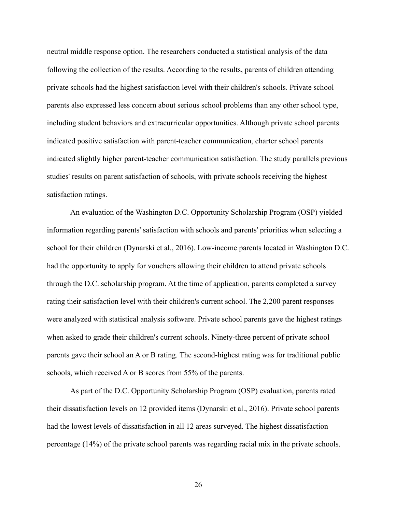neutral middle response option. The researchers conducted a statistical analysis of the data following the collection of the results. According to the results, parents of children attending private schools had the highest satisfaction level with their children's schools. Private school parents also expressed less concern about serious school problems than any other school type, including student behaviors and extracurricular opportunities. Although private school parents indicated positive satisfaction with parent-teacher communication, charter school parents indicated slightly higher parent-teacher communication satisfaction. The study parallels previous studies' results on parent satisfaction of schools, with private schools receiving the highest satisfaction ratings.

An evaluation of the Washington D.C. Opportunity Scholarship Program (OSP) yielded information regarding parents' satisfaction with schools and parents' priorities when selecting a school for their children (Dynarski et al., 2016). Low-income parents located in Washington D.C. had the opportunity to apply for vouchers allowing their children to attend private schools through the D.C. scholarship program. At the time of application, parents completed a survey rating their satisfaction level with their children's current school. The 2,200 parent responses were analyzed with statistical analysis software. Private school parents gave the highest ratings when asked to grade their children's current schools. Ninety-three percent of private school parents gave their school an A or B rating. The second-highest rating was for traditional public schools, which received A or B scores from 55% of the parents.

As part of the D.C. Opportunity Scholarship Program (OSP) evaluation, parents rated their dissatisfaction levels on 12 provided items (Dynarski et al., 2016). Private school parents had the lowest levels of dissatisfaction in all 12 areas surveyed. The highest dissatisfaction percentage (14%) of the private school parents was regarding racial mix in the private schools.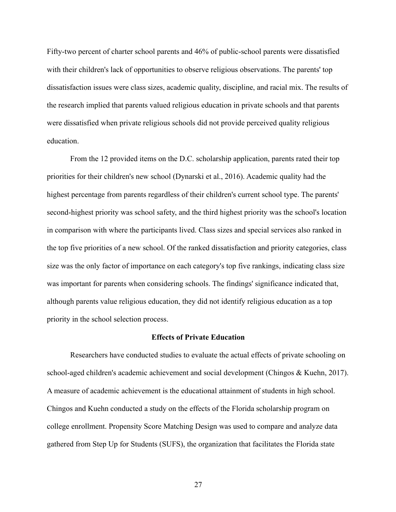Fifty-two percent of charter school parents and 46% of public-school parents were dissatisfied with their children's lack of opportunities to observe religious observations. The parents' top dissatisfaction issues were class sizes, academic quality, discipline, and racial mix. The results of the research implied that parents valued religious education in private schools and that parents were dissatisfied when private religious schools did not provide perceived quality religious education.

From the 12 provided items on the D.C. scholarship application, parents rated their top priorities for their children's new school (Dynarski et al., 2016). Academic quality had the highest percentage from parents regardless of their children's current school type. The parents' second-highest priority was school safety, and the third highest priority was the school's location in comparison with where the participants lived. Class sizes and special services also ranked in the top five priorities of a new school. Of the ranked dissatisfaction and priority categories, class size was the only factor of importance on each category's top five rankings, indicating class size was important for parents when considering schools. The findings' significance indicated that, although parents value religious education, they did not identify religious education as a top priority in the school selection process.

### **Effects of Private Education**

Researchers have conducted studies to evaluate the actual effects of private schooling on school-aged children's academic achievement and social development (Chingos & Kuehn, 2017). A measure of academic achievement is the educational attainment of students in high school. Chingos and Kuehn conducted a study on the effects of the Florida scholarship program on college enrollment. Propensity Score Matching Design was used to compare and analyze data gathered from Step Up for Students (SUFS), the organization that facilitates the Florida state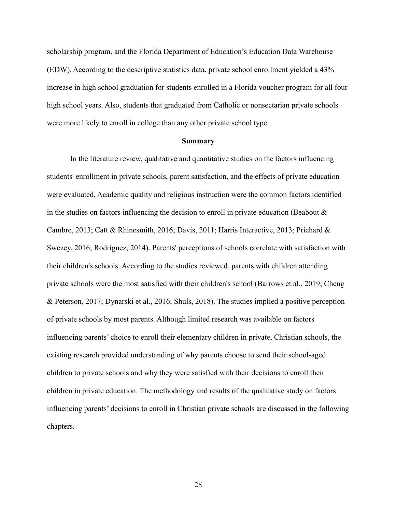scholarship program, and the Florida Department of Education's Education Data Warehouse (EDW). According to the descriptive statistics data, private school enrollment yielded a 43% increase in high school graduation for students enrolled in a Florida voucher program for all four high school years. Also, students that graduated from Catholic or nonsectarian private schools were more likely to enroll in college than any other private school type.

#### **Summary**

In the literature review, qualitative and quantitative studies on the factors influencing students' enrollment in private schools, parent satisfaction, and the effects of private education were evaluated. Academic quality and religious instruction were the common factors identified in the studies on factors influencing the decision to enroll in private education (Beabout & Cambre, 2013; Catt & Rhinesmith, 2016; Davis, 2011; Harris Interactive, 2013; Prichard & Swezey, 2016; Rodriguez, 2014). Parents' perceptions of schools correlate with satisfaction with their children's schools. According to the studies reviewed, parents with children attending private schools were the most satisfied with their children's school (Barrows et al., 2019; Cheng & Peterson, 2017; Dynarski et al., 2016; Shuls, 2018). The studies implied a positive perception of private schools by most parents. Although limited research was available on factors influencing parents' choice to enroll their elementary children in private, Christian schools, the existing research provided understanding of why parents choose to send their school-aged children to private schools and why they were satisfied with their decisions to enroll their children in private education. The methodology and results of the qualitative study on factors influencing parents' decisions to enroll in Christian private schools are discussed in the following chapters.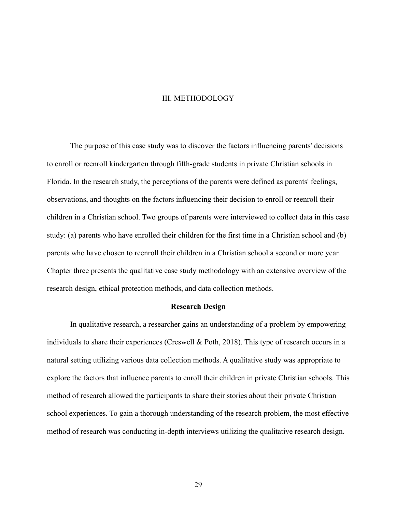#### III. METHODOLOGY

The purpose of this case study was to discover the factors influencing parents' decisions to enroll or reenroll kindergarten through fifth-grade students in private Christian schools in Florida. In the research study, the perceptions of the parents were defined as parents' feelings, observations, and thoughts on the factors influencing their decision to enroll or reenroll their children in a Christian school. Two groups of parents were interviewed to collect data in this case study: (a) parents who have enrolled their children for the first time in a Christian school and (b) parents who have chosen to reenroll their children in a Christian school a second or more year. Chapter three presents the qualitative case study methodology with an extensive overview of the research design, ethical protection methods, and data collection methods.

### **Research Design**

In qualitative research, a researcher gains an understanding of a problem by empowering individuals to share their experiences (Creswell & Poth, 2018). This type of research occurs in a natural setting utilizing various data collection methods. A qualitative study was appropriate to explore the factors that influence parents to enroll their children in private Christian schools. This method of research allowed the participants to share their stories about their private Christian school experiences. To gain a thorough understanding of the research problem, the most effective method of research was conducting in-depth interviews utilizing the qualitative research design.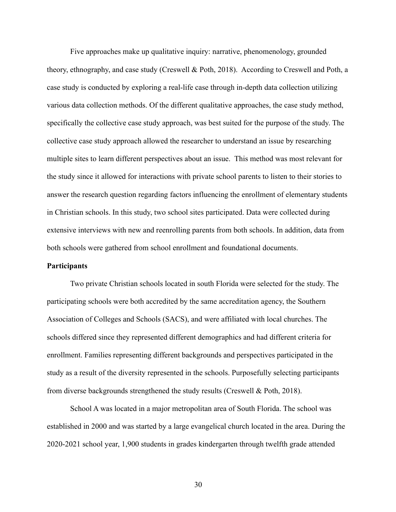Five approaches make up qualitative inquiry: narrative, phenomenology, grounded theory, ethnography, and case study (Creswell & Poth, 2018). According to Creswell and Poth, a case study is conducted by exploring a real-life case through in-depth data collection utilizing various data collection methods. Of the different qualitative approaches, the case study method, specifically the collective case study approach, was best suited for the purpose of the study. The collective case study approach allowed the researcher to understand an issue by researching multiple sites to learn different perspectives about an issue. This method was most relevant for the study since it allowed for interactions with private school parents to listen to their stories to answer the research question regarding factors influencing the enrollment of elementary students in Christian schools. In this study, two school sites participated. Data were collected during extensive interviews with new and reenrolling parents from both schools. In addition, data from both schools were gathered from school enrollment and foundational documents.

### **Participants**

Two private Christian schools located in south Florida were selected for the study. The participating schools were both accredited by the same accreditation agency, the Southern Association of Colleges and Schools (SACS), and were affiliated with local churches. The schools differed since they represented different demographics and had different criteria for enrollment. Families representing different backgrounds and perspectives participated in the study as a result of the diversity represented in the schools. Purposefully selecting participants from diverse backgrounds strengthened the study results (Creswell & Poth, 2018).

School A was located in a major metropolitan area of South Florida. The school was established in 2000 and was started by a large evangelical church located in the area. During the 2020-2021 school year, 1,900 students in grades kindergarten through twelfth grade attended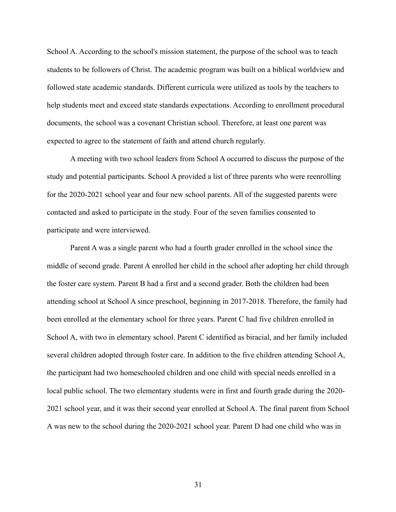School A. According to the school's mission statement, the purpose of the school was to teach students to be followers of Christ. The academic program was built on a biblical worldview and followed state academic standards. Different curricula were utilized as tools by the teachers to help students meet and exceed state standards expectations. According to enrollment procedural documents, the school was a covenant Christian school. Therefore, at least one parent was expected to agree to the statement of faith and attend church regularly.

A meeting with two school leaders from School A occurred to discuss the purpose of the study and potential participants. School A provided a list of three parents who were reenrolling for the 2020-2021 school year and four new school parents. All of the suggested parents were contacted and asked to participate in the study. Four of the seven families consented to participate and were interviewed.

Parent A was a single parent who had a fourth grader enrolled in the school since the middle of second grade. Parent A enrolled her child in the school after adopting her child through the foster care system. Parent B had a first and a second grader. Both the children had been attending school at School A since preschool, beginning in 2017-2018. Therefore, the family had been enrolled at the elementary school for three years. Parent C had five children enrolled in School A, with two in elementary school. Parent C identified as biracial, and her family included several children adopted through foster care. In addition to the five children attending School A, the participant had two homeschooled children and one child with special needs enrolled in a local public school. The two elementary students were in first and fourth grade during the 2020- 2021 school year, and it was their second year enrolled at School A. The final parent from School A was new to the school during the 2020-2021 school year. Parent D had one child who was in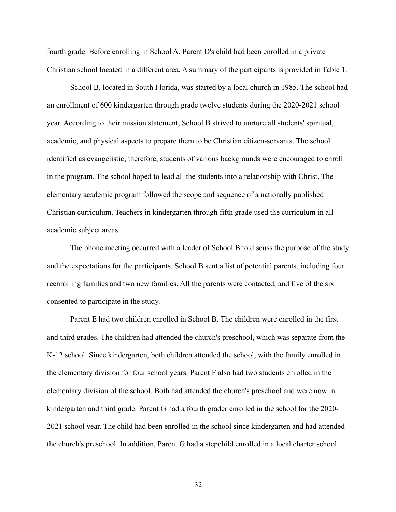fourth grade. Before enrolling in School A, Parent D's child had been enrolled in a private Christian school located in a different area. A summary of the participants is provided in Table 1.

School B, located in South Florida, was started by a local church in 1985. The school had an enrollment of 600 kindergarten through grade twelve students during the 2020-2021 school year. According to their mission statement, School B strived to nurture all students' spiritual, academic, and physical aspects to prepare them to be Christian citizen-servants. The school identified as evangelistic; therefore, students of various backgrounds were encouraged to enroll in the program. The school hoped to lead all the students into a relationship with Christ. The elementary academic program followed the scope and sequence of a nationally published Christian curriculum. Teachers in kindergarten through fifth grade used the curriculum in all academic subject areas.

The phone meeting occurred with a leader of School B to discuss the purpose of the study and the expectations for the participants. School B sent a list of potential parents, including four reenrolling families and two new families. All the parents were contacted, and five of the six consented to participate in the study.

Parent E had two children enrolled in School B. The children were enrolled in the first and third grades. The children had attended the church's preschool, which was separate from the K-12 school. Since kindergarten, both children attended the school, with the family enrolled in the elementary division for four school years. Parent F also had two students enrolled in the elementary division of the school. Both had attended the church's preschool and were now in kindergarten and third grade. Parent G had a fourth grader enrolled in the school for the 2020- 2021 school year. The child had been enrolled in the school since kindergarten and had attended the church's preschool. In addition, Parent G had a stepchild enrolled in a local charter school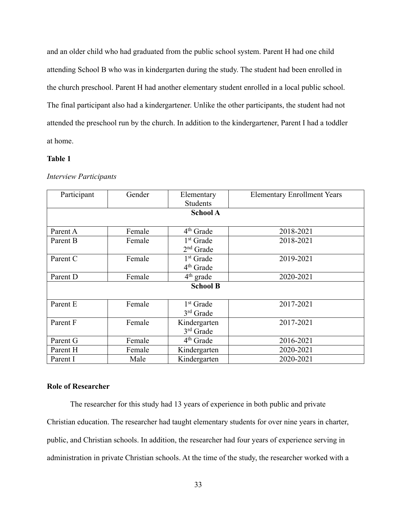and an older child who had graduated from the public school system. Parent H had one child attending School B who was in kindergarten during the study. The student had been enrolled in the church preschool. Parent H had another elementary student enrolled in a local public school. The final participant also had a kindergartener. Unlike the other participants, the student had not attended the preschool run by the church. In addition to the kindergartener, Parent I had a toddler at home.

## **Table 1**

| Participant     | Gender | Elementary            | <b>Elementary Enrollment Years</b> |  |
|-----------------|--------|-----------------------|------------------------------------|--|
|                 |        | <b>Students</b>       |                                    |  |
| <b>School A</b> |        |                       |                                    |  |
|                 |        |                       |                                    |  |
| Parent A        | Female | 4 <sup>th</sup> Grade | 2018-2021                          |  |
| Parent B        | Female | $1st$ Grade           | 2018-2021                          |  |
|                 |        | $2nd$ Grade           |                                    |  |
| Parent C        | Female | 1 <sup>st</sup> Grade | 2019-2021                          |  |
|                 |        | 4 <sup>th</sup> Grade |                                    |  |
| Parent D        | Female | $4th$ grade           | 2020-2021                          |  |
| <b>School B</b> |        |                       |                                    |  |
|                 |        |                       |                                    |  |
| Parent E        | Female | 1 <sup>st</sup> Grade | 2017-2021                          |  |
|                 |        | $3rd$ Grade           |                                    |  |
| Parent F        | Female | Kindergarten          | 2017-2021                          |  |
|                 |        | 3rd Grade             |                                    |  |
| Parent G        | Female | $4th$ Grade           | 2016-2021                          |  |
| Parent H        | Female | Kindergarten          | 2020-2021                          |  |
| Parent I        | Male   | Kindergarten          | 2020-2021                          |  |

#### *Interview Participants*

# **Role of Researcher**

The researcher for this study had 13 years of experience in both public and private Christian education. The researcher had taught elementary students for over nine years in charter, public, and Christian schools. In addition, the researcher had four years of experience serving in administration in private Christian schools. At the time of the study, the researcher worked with a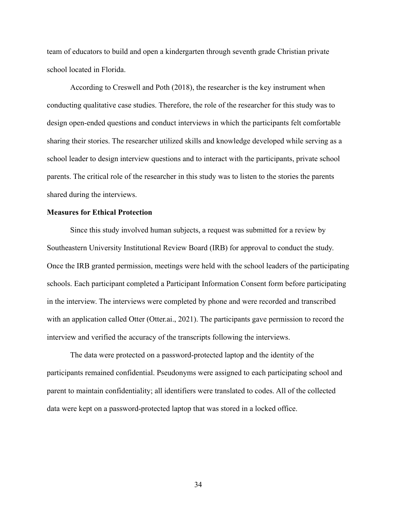team of educators to build and open a kindergarten through seventh grade Christian private school located in Florida.

According to Creswell and Poth (2018), the researcher is the key instrument when conducting qualitative case studies. Therefore, the role of the researcher for this study was to design open-ended questions and conduct interviews in which the participants felt comfortable sharing their stories. The researcher utilized skills and knowledge developed while serving as a school leader to design interview questions and to interact with the participants, private school parents. The critical role of the researcher in this study was to listen to the stories the parents shared during the interviews.

# **Measures for Ethical Protection**

Since this study involved human subjects, a request was submitted for a review by Southeastern University Institutional Review Board (IRB) for approval to conduct the study. Once the IRB granted permission, meetings were held with the school leaders of the participating schools. Each participant completed a Participant Information Consent form before participating in the interview. The interviews were completed by phone and were recorded and transcribed with an application called Otter (Otter.ai., 2021). The participants gave permission to record the interview and verified the accuracy of the transcripts following the interviews.

The data were protected on a password-protected laptop and the identity of the participants remained confidential. Pseudonyms were assigned to each participating school and parent to maintain confidentiality; all identifiers were translated to codes. All of the collected data were kept on a password-protected laptop that was stored in a locked office.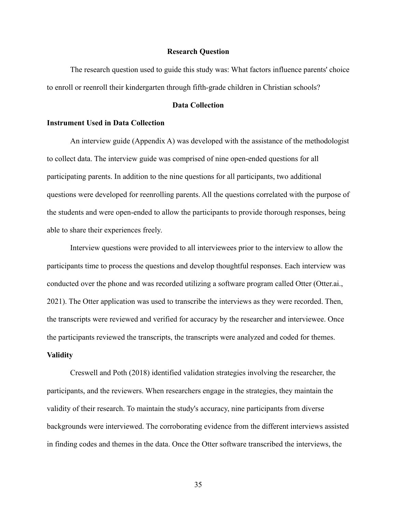### **Research Question**

The research question used to guide this study was: What factors influence parents' choice to enroll or reenroll their kindergarten through fifth-grade children in Christian schools?

## **Data Collection**

### **Instrument Used in Data Collection**

An interview guide (Appendix A) was developed with the assistance of the methodologist to collect data. The interview guide was comprised of nine open-ended questions for all participating parents. In addition to the nine questions for all participants, two additional questions were developed for reenrolling parents. All the questions correlated with the purpose of the students and were open-ended to allow the participants to provide thorough responses, being able to share their experiences freely.

Interview questions were provided to all interviewees prior to the interview to allow the participants time to process the questions and develop thoughtful responses. Each interview was conducted over the phone and was recorded utilizing a software program called Otter (Otter.ai., 2021). The Otter application was used to transcribe the interviews as they were recorded. Then, the transcripts were reviewed and verified for accuracy by the researcher and interviewee. Once the participants reviewed the transcripts, the transcripts were analyzed and coded for themes. **Validity** 

Creswell and Poth (2018) identified validation strategies involving the researcher, the participants, and the reviewers. When researchers engage in the strategies, they maintain the validity of their research. To maintain the study's accuracy, nine participants from diverse backgrounds were interviewed. The corroborating evidence from the different interviews assisted in finding codes and themes in the data. Once the Otter software transcribed the interviews, the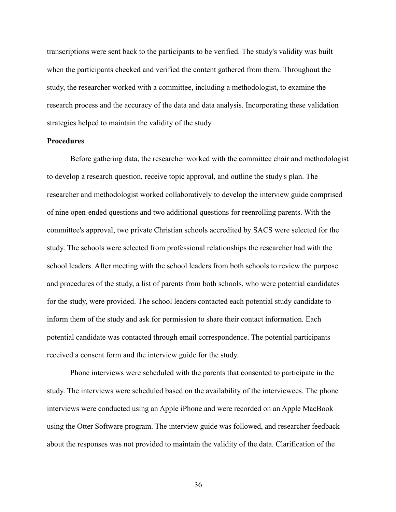transcriptions were sent back to the participants to be verified. The study's validity was built when the participants checked and verified the content gathered from them. Throughout the study, the researcher worked with a committee, including a methodologist, to examine the research process and the accuracy of the data and data analysis. Incorporating these validation strategies helped to maintain the validity of the study.

## **Procedures**

Before gathering data, the researcher worked with the committee chair and methodologist to develop a research question, receive topic approval, and outline the study's plan. The researcher and methodologist worked collaboratively to develop the interview guide comprised of nine open-ended questions and two additional questions for reenrolling parents. With the committee's approval, two private Christian schools accredited by SACS were selected for the study. The schools were selected from professional relationships the researcher had with the school leaders. After meeting with the school leaders from both schools to review the purpose and procedures of the study, a list of parents from both schools, who were potential candidates for the study, were provided. The school leaders contacted each potential study candidate to inform them of the study and ask for permission to share their contact information. Each potential candidate was contacted through email correspondence. The potential participants received a consent form and the interview guide for the study.

Phone interviews were scheduled with the parents that consented to participate in the study. The interviews were scheduled based on the availability of the interviewees. The phone interviews were conducted using an Apple iPhone and were recorded on an Apple MacBook using the Otter Software program. The interview guide was followed, and researcher feedback about the responses was not provided to maintain the validity of the data. Clarification of the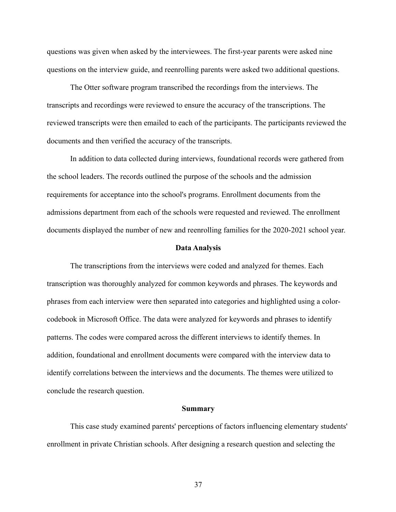questions was given when asked by the interviewees. The first-year parents were asked nine questions on the interview guide, and reenrolling parents were asked two additional questions.

The Otter software program transcribed the recordings from the interviews. The transcripts and recordings were reviewed to ensure the accuracy of the transcriptions. The reviewed transcripts were then emailed to each of the participants. The participants reviewed the documents and then verified the accuracy of the transcripts.

In addition to data collected during interviews, foundational records were gathered from the school leaders. The records outlined the purpose of the schools and the admission requirements for acceptance into the school's programs. Enrollment documents from the admissions department from each of the schools were requested and reviewed. The enrollment documents displayed the number of new and reenrolling families for the 2020-2021 school year.

#### **Data Analysis**

The transcriptions from the interviews were coded and analyzed for themes. Each transcription was thoroughly analyzed for common keywords and phrases. The keywords and phrases from each interview were then separated into categories and highlighted using a colorcodebook in Microsoft Office. The data were analyzed for keywords and phrases to identify patterns. The codes were compared across the different interviews to identify themes. In addition, foundational and enrollment documents were compared with the interview data to identify correlations between the interviews and the documents. The themes were utilized to conclude the research question.

### **Summary**

This case study examined parents' perceptions of factors influencing elementary students' enrollment in private Christian schools. After designing a research question and selecting the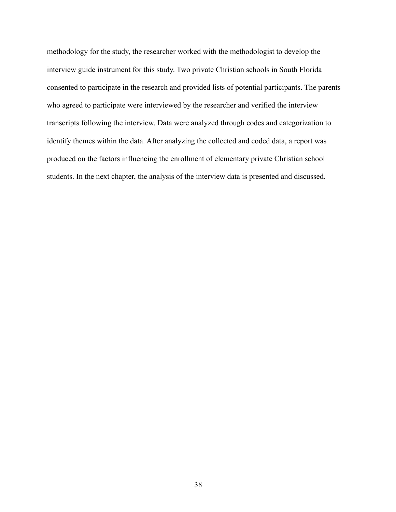methodology for the study, the researcher worked with the methodologist to develop the interview guide instrument for this study. Two private Christian schools in South Florida consented to participate in the research and provided lists of potential participants. The parents who agreed to participate were interviewed by the researcher and verified the interview transcripts following the interview. Data were analyzed through codes and categorization to identify themes within the data. After analyzing the collected and coded data, a report was produced on the factors influencing the enrollment of elementary private Christian school students. In the next chapter, the analysis of the interview data is presented and discussed.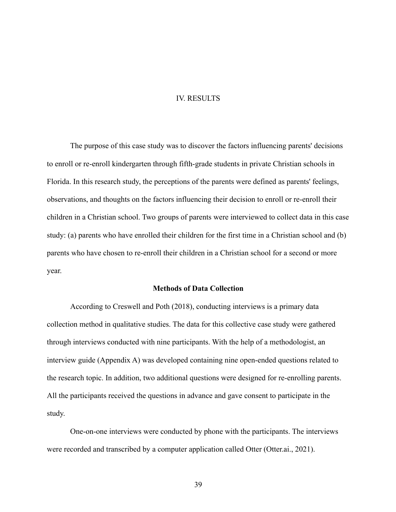## IV. RESULTS

The purpose of this case study was to discover the factors influencing parents' decisions to enroll or re-enroll kindergarten through fifth-grade students in private Christian schools in Florida. In this research study, the perceptions of the parents were defined as parents' feelings, observations, and thoughts on the factors influencing their decision to enroll or re-enroll their children in a Christian school. Two groups of parents were interviewed to collect data in this case study: (a) parents who have enrolled their children for the first time in a Christian school and (b) parents who have chosen to re-enroll their children in a Christian school for a second or more year.

# **Methods of Data Collection**

According to Creswell and Poth (2018), conducting interviews is a primary data collection method in qualitative studies. The data for this collective case study were gathered through interviews conducted with nine participants. With the help of a methodologist, an interview guide (Appendix A) was developed containing nine open-ended questions related to the research topic. In addition, two additional questions were designed for re-enrolling parents. All the participants received the questions in advance and gave consent to participate in the study.

One-on-one interviews were conducted by phone with the participants. The interviews were recorded and transcribed by a computer application called Otter (Otter.ai., 2021).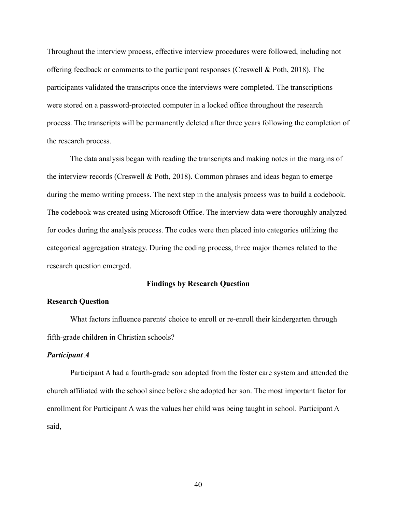Throughout the interview process, effective interview procedures were followed, including not offering feedback or comments to the participant responses (Creswell & Poth, 2018). The participants validated the transcripts once the interviews were completed. The transcriptions were stored on a password-protected computer in a locked office throughout the research process. The transcripts will be permanently deleted after three years following the completion of the research process.

The data analysis began with reading the transcripts and making notes in the margins of the interview records (Creswell & Poth, 2018). Common phrases and ideas began to emerge during the memo writing process. The next step in the analysis process was to build a codebook. The codebook was created using Microsoft Office. The interview data were thoroughly analyzed for codes during the analysis process. The codes were then placed into categories utilizing the categorical aggregation strategy. During the coding process, three major themes related to the research question emerged.

#### **Findings by Research Question**

## **Research Question**

What factors influence parents' choice to enroll or re-enroll their kindergarten through fifth-grade children in Christian schools?

### *Participant A*

Participant A had a fourth-grade son adopted from the foster care system and attended the church affiliated with the school since before she adopted her son. The most important factor for enrollment for Participant A was the values her child was being taught in school. Participant A said,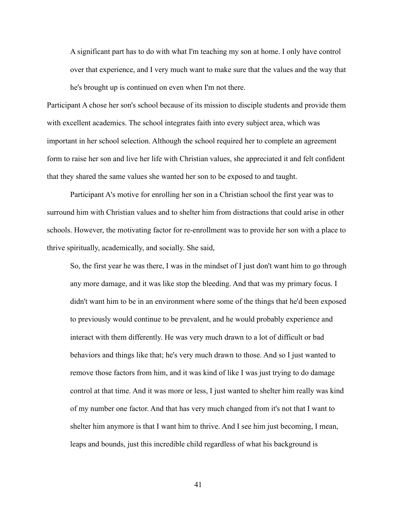A significant part has to do with what I'm teaching my son at home. I only have control over that experience, and I very much want to make sure that the values and the way that he's brought up is continued on even when I'm not there.

Participant A chose her son's school because of its mission to disciple students and provide them with excellent academics. The school integrates faith into every subject area, which was important in her school selection. Although the school required her to complete an agreement form to raise her son and live her life with Christian values, she appreciated it and felt confident that they shared the same values she wanted her son to be exposed to and taught.

Participant A's motive for enrolling her son in a Christian school the first year was to surround him with Christian values and to shelter him from distractions that could arise in other schools. However, the motivating factor for re-enrollment was to provide her son with a place to thrive spiritually, academically, and socially. She said,

So, the first year he was there, I was in the mindset of I just don't want him to go through any more damage, and it was like stop the bleeding. And that was my primary focus. I didn't want him to be in an environment where some of the things that he'd been exposed to previously would continue to be prevalent, and he would probably experience and interact with them differently. He was very much drawn to a lot of difficult or bad behaviors and things like that; he's very much drawn to those. And so I just wanted to remove those factors from him, and it was kind of like I was just trying to do damage control at that time. And it was more or less, I just wanted to shelter him really was kind of my number one factor. And that has very much changed from it's not that I want to shelter him anymore is that I want him to thrive. And I see him just becoming, I mean, leaps and bounds, just this incredible child regardless of what his background is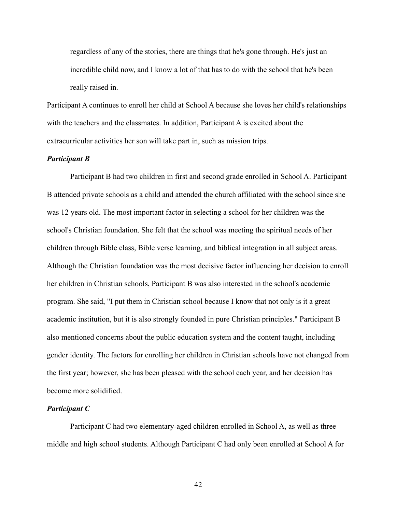regardless of any of the stories, there are things that he's gone through. He's just an incredible child now, and I know a lot of that has to do with the school that he's been really raised in.

Participant A continues to enroll her child at School A because she loves her child's relationships with the teachers and the classmates. In addition, Participant A is excited about the extracurricular activities her son will take part in, such as mission trips.

## *Participant B*

Participant B had two children in first and second grade enrolled in School A. Participant B attended private schools as a child and attended the church affiliated with the school since she was 12 years old. The most important factor in selecting a school for her children was the school's Christian foundation. She felt that the school was meeting the spiritual needs of her children through Bible class, Bible verse learning, and biblical integration in all subject areas. Although the Christian foundation was the most decisive factor influencing her decision to enroll her children in Christian schools, Participant B was also interested in the school's academic program. She said, "I put them in Christian school because I know that not only is it a great academic institution, but it is also strongly founded in pure Christian principles." Participant B also mentioned concerns about the public education system and the content taught, including gender identity. The factors for enrolling her children in Christian schools have not changed from the first year; however, she has been pleased with the school each year, and her decision has become more solidified.

# *Participant C*

Participant C had two elementary-aged children enrolled in School A, as well as three middle and high school students. Although Participant C had only been enrolled at School A for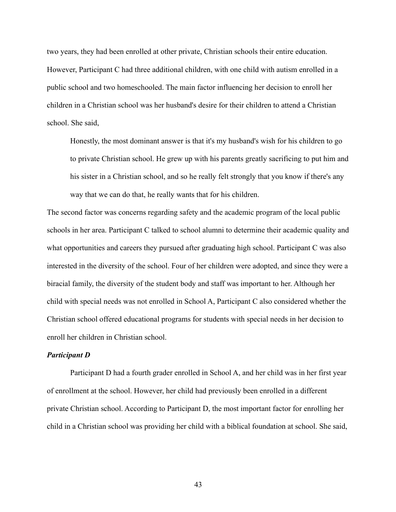two years, they had been enrolled at other private, Christian schools their entire education. However, Participant C had three additional children, with one child with autism enrolled in a public school and two homeschooled. The main factor influencing her decision to enroll her children in a Christian school was her husband's desire for their children to attend a Christian school. She said,

Honestly, the most dominant answer is that it's my husband's wish for his children to go to private Christian school. He grew up with his parents greatly sacrificing to put him and his sister in a Christian school, and so he really felt strongly that you know if there's any way that we can do that, he really wants that for his children.

The second factor was concerns regarding safety and the academic program of the local public schools in her area. Participant C talked to school alumni to determine their academic quality and what opportunities and careers they pursued after graduating high school. Participant C was also interested in the diversity of the school. Four of her children were adopted, and since they were a biracial family, the diversity of the student body and staff was important to her. Although her child with special needs was not enrolled in School A, Participant C also considered whether the Christian school offered educational programs for students with special needs in her decision to enroll her children in Christian school.

### *Participant D*

Participant D had a fourth grader enrolled in School A, and her child was in her first year of enrollment at the school. However, her child had previously been enrolled in a different private Christian school. According to Participant D, the most important factor for enrolling her child in a Christian school was providing her child with a biblical foundation at school. She said,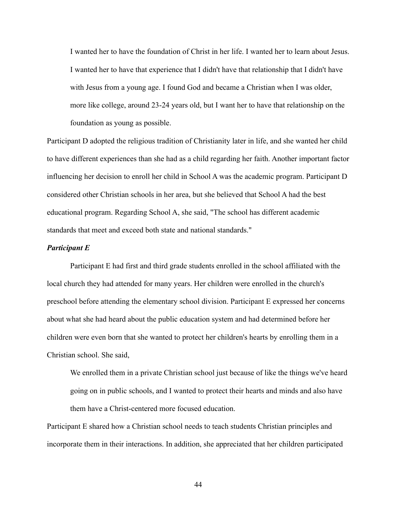I wanted her to have the foundation of Christ in her life. I wanted her to learn about Jesus. I wanted her to have that experience that I didn't have that relationship that I didn't have with Jesus from a young age. I found God and became a Christian when I was older, more like college, around 23-24 years old, but I want her to have that relationship on the foundation as young as possible.

Participant D adopted the religious tradition of Christianity later in life, and she wanted her child to have different experiences than she had as a child regarding her faith. Another important factor influencing her decision to enroll her child in School A was the academic program. Participant D considered other Christian schools in her area, but she believed that School A had the best educational program. Regarding School A, she said, "The school has different academic standards that meet and exceed both state and national standards."

### *Participant E*

Participant E had first and third grade students enrolled in the school affiliated with the local church they had attended for many years. Her children were enrolled in the church's preschool before attending the elementary school division. Participant E expressed her concerns about what she had heard about the public education system and had determined before her children were even born that she wanted to protect her children's hearts by enrolling them in a Christian school. She said,

We enrolled them in a private Christian school just because of like the things we've heard going on in public schools, and I wanted to protect their hearts and minds and also have them have a Christ-centered more focused education.

Participant E shared how a Christian school needs to teach students Christian principles and incorporate them in their interactions. In addition, she appreciated that her children participated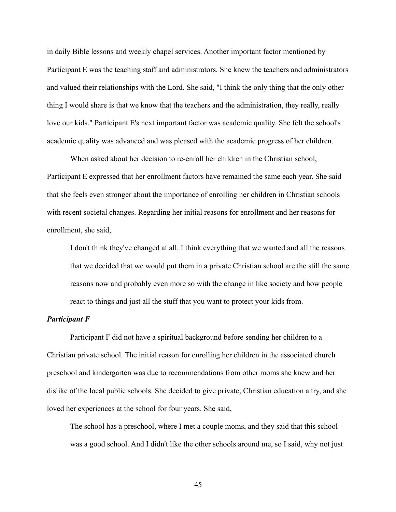in daily Bible lessons and weekly chapel services. Another important factor mentioned by Participant E was the teaching staff and administrators. She knew the teachers and administrators and valued their relationships with the Lord. She said, "I think the only thing that the only other thing I would share is that we know that the teachers and the administration, they really, really love our kids." Participant E's next important factor was academic quality. She felt the school's academic quality was advanced and was pleased with the academic progress of her children.

When asked about her decision to re-enroll her children in the Christian school, Participant E expressed that her enrollment factors have remained the same each year. She said that she feels even stronger about the importance of enrolling her children in Christian schools with recent societal changes. Regarding her initial reasons for enrollment and her reasons for enrollment, she said,

I don't think they've changed at all. I think everything that we wanted and all the reasons that we decided that we would put them in a private Christian school are the still the same reasons now and probably even more so with the change in like society and how people react to things and just all the stuff that you want to protect your kids from.

### *Participant F*

Participant F did not have a spiritual background before sending her children to a Christian private school. The initial reason for enrolling her children in the associated church preschool and kindergarten was due to recommendations from other moms she knew and her dislike of the local public schools. She decided to give private, Christian education a try, and she loved her experiences at the school for four years. She said,

The school has a preschool, where I met a couple moms, and they said that this school was a good school. And I didn't like the other schools around me, so I said, why not just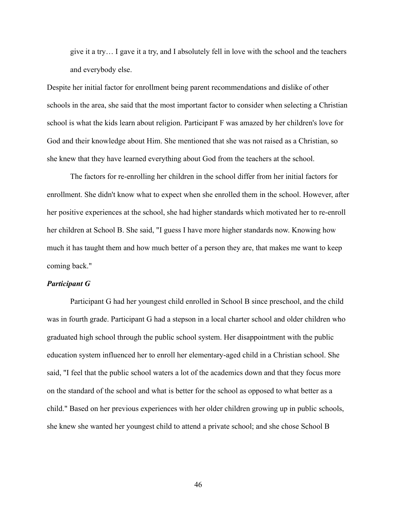give it a try… I gave it a try, and I absolutely fell in love with the school and the teachers and everybody else.

Despite her initial factor for enrollment being parent recommendations and dislike of other schools in the area, she said that the most important factor to consider when selecting a Christian school is what the kids learn about religion. Participant F was amazed by her children's love for God and their knowledge about Him. She mentioned that she was not raised as a Christian, so she knew that they have learned everything about God from the teachers at the school.

The factors for re-enrolling her children in the school differ from her initial factors for enrollment. She didn't know what to expect when she enrolled them in the school. However, after her positive experiences at the school, she had higher standards which motivated her to re-enroll her children at School B. She said, "I guess I have more higher standards now. Knowing how much it has taught them and how much better of a person they are, that makes me want to keep coming back."

#### *Participant G*

Participant G had her youngest child enrolled in School B since preschool, and the child was in fourth grade. Participant G had a stepson in a local charter school and older children who graduated high school through the public school system. Her disappointment with the public education system influenced her to enroll her elementary-aged child in a Christian school. She said, "I feel that the public school waters a lot of the academics down and that they focus more on the standard of the school and what is better for the school as opposed to what better as a child." Based on her previous experiences with her older children growing up in public schools, she knew she wanted her youngest child to attend a private school; and she chose School B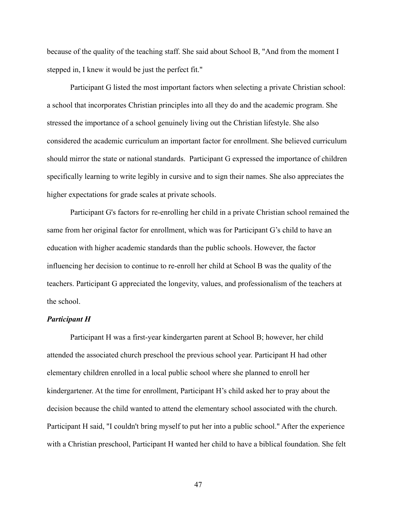because of the quality of the teaching staff. She said about School B, "And from the moment I stepped in, I knew it would be just the perfect fit."

Participant G listed the most important factors when selecting a private Christian school: a school that incorporates Christian principles into all they do and the academic program. She stressed the importance of a school genuinely living out the Christian lifestyle. She also considered the academic curriculum an important factor for enrollment. She believed curriculum should mirror the state or national standards. Participant G expressed the importance of children specifically learning to write legibly in cursive and to sign their names. She also appreciates the higher expectations for grade scales at private schools.

Participant G's factors for re-enrolling her child in a private Christian school remained the same from her original factor for enrollment, which was for Participant G's child to have an education with higher academic standards than the public schools. However, the factor influencing her decision to continue to re-enroll her child at School B was the quality of the teachers. Participant G appreciated the longevity, values, and professionalism of the teachers at the school.

## *Participant H*

Participant H was a first-year kindergarten parent at School B; however, her child attended the associated church preschool the previous school year. Participant H had other elementary children enrolled in a local public school where she planned to enroll her kindergartener. At the time for enrollment, Participant H's child asked her to pray about the decision because the child wanted to attend the elementary school associated with the church. Participant H said, "I couldn't bring myself to put her into a public school." After the experience with a Christian preschool, Participant H wanted her child to have a biblical foundation. She felt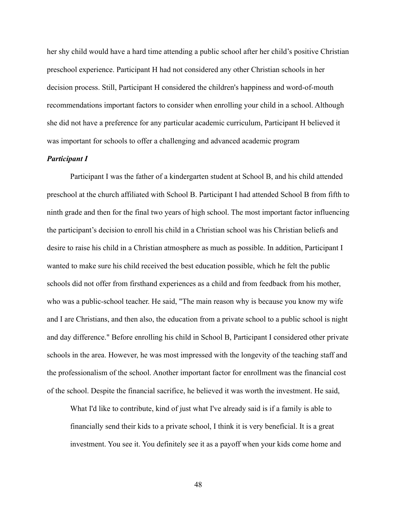her shy child would have a hard time attending a public school after her child's positive Christian preschool experience. Participant H had not considered any other Christian schools in her decision process. Still, Participant H considered the children's happiness and word-of-mouth recommendations important factors to consider when enrolling your child in a school. Although she did not have a preference for any particular academic curriculum, Participant H believed it was important for schools to offer a challenging and advanced academic program

## *Participant I*

Participant I was the father of a kindergarten student at School B, and his child attended preschool at the church affiliated with School B. Participant I had attended School B from fifth to ninth grade and then for the final two years of high school. The most important factor influencing the participant's decision to enroll his child in a Christian school was his Christian beliefs and desire to raise his child in a Christian atmosphere as much as possible. In addition, Participant I wanted to make sure his child received the best education possible, which he felt the public schools did not offer from firsthand experiences as a child and from feedback from his mother, who was a public-school teacher. He said, "The main reason why is because you know my wife and I are Christians, and then also, the education from a private school to a public school is night and day difference." Before enrolling his child in School B, Participant I considered other private schools in the area. However, he was most impressed with the longevity of the teaching staff and the professionalism of the school. Another important factor for enrollment was the financial cost of the school. Despite the financial sacrifice, he believed it was worth the investment. He said,

What I'd like to contribute, kind of just what I've already said is if a family is able to financially send their kids to a private school, I think it is very beneficial. It is a great investment. You see it. You definitely see it as a payoff when your kids come home and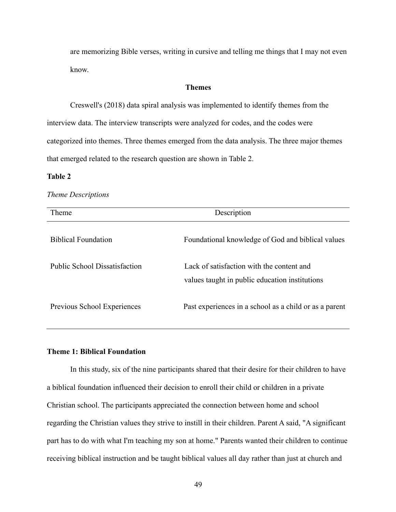are memorizing Bible verses, writing in cursive and telling me things that I may not even know.

## **Themes**

Creswell's (2018) data spiral analysis was implemented to identify themes from the interview data. The interview transcripts were analyzed for codes, and the codes were categorized into themes. Three themes emerged from the data analysis. The three major themes that emerged related to the research question are shown in Table 2.

### **Table 2**

#### *Theme Descriptions*

| Theme                         | Description                                                                                 |  |
|-------------------------------|---------------------------------------------------------------------------------------------|--|
| <b>Biblical Foundation</b>    | Foundational knowledge of God and biblical values                                           |  |
| Public School Dissatisfaction | Lack of satisfaction with the content and<br>values taught in public education institutions |  |
| Previous School Experiences   | Past experiences in a school as a child or as a parent                                      |  |

## **Theme 1: Biblical Foundation**

In this study, six of the nine participants shared that their desire for their children to have a biblical foundation influenced their decision to enroll their child or children in a private Christian school. The participants appreciated the connection between home and school regarding the Christian values they strive to instill in their children. Parent A said, "A significant part has to do with what I'm teaching my son at home." Parents wanted their children to continue receiving biblical instruction and be taught biblical values all day rather than just at church and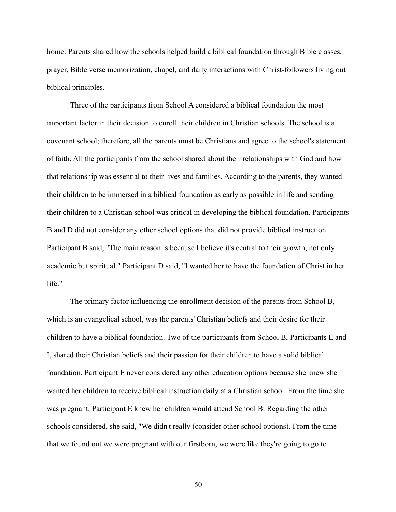home. Parents shared how the schools helped build a biblical foundation through Bible classes, prayer, Bible verse memorization, chapel, and daily interactions with Christ-followers living out biblical principles.

Three of the participants from School A considered a biblical foundation the most important factor in their decision to enroll their children in Christian schools. The school is a covenant school; therefore, all the parents must be Christians and agree to the school's statement of faith. All the participants from the school shared about their relationships with God and how that relationship was essential to their lives and families. According to the parents, they wanted their children to be immersed in a biblical foundation as early as possible in life and sending their children to a Christian school was critical in developing the biblical foundation. Participants B and D did not consider any other school options that did not provide biblical instruction. Participant B said, "The main reason is because I believe it's central to their growth, not only academic but spiritual." Participant D said, "I wanted her to have the foundation of Christ in her life."

The primary factor influencing the enrollment decision of the parents from School B, which is an evangelical school, was the parents' Christian beliefs and their desire for their children to have a biblical foundation. Two of the participants from School B, Participants E and I, shared their Christian beliefs and their passion for their children to have a solid biblical foundation. Participant E never considered any other education options because she knew she wanted her children to receive biblical instruction daily at a Christian school. From the time she was pregnant, Participant E knew her children would attend School B. Regarding the other schools considered, she said, "We didn't really (consider other school options). From the time that we found out we were pregnant with our firstborn, we were like they're going to go to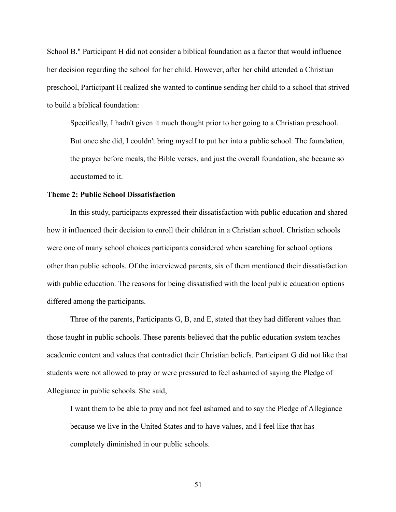School B." Participant H did not consider a biblical foundation as a factor that would influence her decision regarding the school for her child. However, after her child attended a Christian preschool, Participant H realized she wanted to continue sending her child to a school that strived to build a biblical foundation:

Specifically, I hadn't given it much thought prior to her going to a Christian preschool. But once she did, I couldn't bring myself to put her into a public school. The foundation, the prayer before meals, the Bible verses, and just the overall foundation, she became so accustomed to it.

#### **Theme 2: Public School Dissatisfaction**

In this study, participants expressed their dissatisfaction with public education and shared how it influenced their decision to enroll their children in a Christian school. Christian schools were one of many school choices participants considered when searching for school options other than public schools. Of the interviewed parents, six of them mentioned their dissatisfaction with public education. The reasons for being dissatisfied with the local public education options differed among the participants.

Three of the parents, Participants G, B, and E, stated that they had different values than those taught in public schools. These parents believed that the public education system teaches academic content and values that contradict their Christian beliefs. Participant G did not like that students were not allowed to pray or were pressured to feel ashamed of saying the Pledge of Allegiance in public schools. She said,

I want them to be able to pray and not feel ashamed and to say the Pledge of Allegiance because we live in the United States and to have values, and I feel like that has completely diminished in our public schools.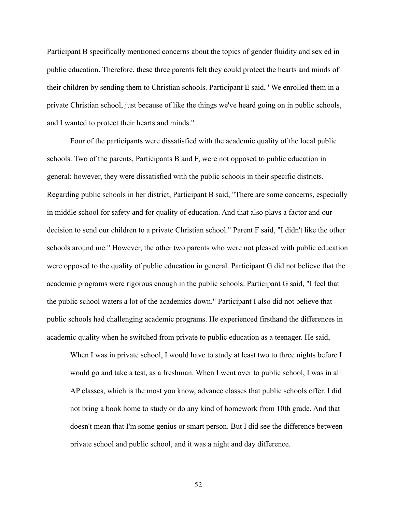Participant B specifically mentioned concerns about the topics of gender fluidity and sex ed in public education. Therefore, these three parents felt they could protect the hearts and minds of their children by sending them to Christian schools. Participant E said, "We enrolled them in a private Christian school, just because of like the things we've heard going on in public schools, and I wanted to protect their hearts and minds."

Four of the participants were dissatisfied with the academic quality of the local public schools. Two of the parents, Participants B and F, were not opposed to public education in general; however, they were dissatisfied with the public schools in their specific districts. Regarding public schools in her district, Participant B said, "There are some concerns, especially in middle school for safety and for quality of education. And that also plays a factor and our decision to send our children to a private Christian school." Parent F said, "I didn't like the other schools around me." However, the other two parents who were not pleased with public education were opposed to the quality of public education in general. Participant G did not believe that the academic programs were rigorous enough in the public schools. Participant G said, "I feel that the public school waters a lot of the academics down." Participant I also did not believe that public schools had challenging academic programs. He experienced firsthand the differences in academic quality when he switched from private to public education as a teenager. He said,

When I was in private school, I would have to study at least two to three nights before I would go and take a test, as a freshman. When I went over to public school, I was in all AP classes, which is the most you know, advance classes that public schools offer. I did not bring a book home to study or do any kind of homework from 10th grade. And that doesn't mean that I'm some genius or smart person. But I did see the difference between private school and public school, and it was a night and day difference.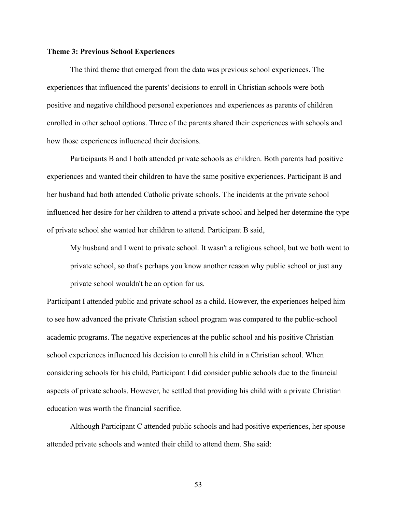#### **Theme 3: Previous School Experiences**

The third theme that emerged from the data was previous school experiences. The experiences that influenced the parents' decisions to enroll in Christian schools were both positive and negative childhood personal experiences and experiences as parents of children enrolled in other school options. Three of the parents shared their experiences with schools and how those experiences influenced their decisions.

Participants B and I both attended private schools as children. Both parents had positive experiences and wanted their children to have the same positive experiences. Participant B and her husband had both attended Catholic private schools. The incidents at the private school influenced her desire for her children to attend a private school and helped her determine the type of private school she wanted her children to attend. Participant B said,

My husband and I went to private school. It wasn't a religious school, but we both went to private school, so that's perhaps you know another reason why public school or just any private school wouldn't be an option for us.

Participant I attended public and private school as a child. However, the experiences helped him to see how advanced the private Christian school program was compared to the public-school academic programs. The negative experiences at the public school and his positive Christian school experiences influenced his decision to enroll his child in a Christian school. When considering schools for his child, Participant I did consider public schools due to the financial aspects of private schools. However, he settled that providing his child with a private Christian education was worth the financial sacrifice.

Although Participant C attended public schools and had positive experiences, her spouse attended private schools and wanted their child to attend them. She said: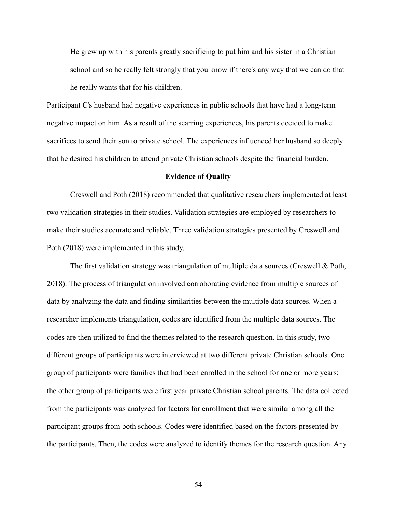He grew up with his parents greatly sacrificing to put him and his sister in a Christian school and so he really felt strongly that you know if there's any way that we can do that he really wants that for his children.

Participant C's husband had negative experiences in public schools that have had a long-term negative impact on him. As a result of the scarring experiences, his parents decided to make sacrifices to send their son to private school. The experiences influenced her husband so deeply that he desired his children to attend private Christian schools despite the financial burden.

### **Evidence of Quality**

Creswell and Poth (2018) recommended that qualitative researchers implemented at least two validation strategies in their studies. Validation strategies are employed by researchers to make their studies accurate and reliable. Three validation strategies presented by Creswell and Poth (2018) were implemented in this study.

The first validation strategy was triangulation of multiple data sources (Creswell & Poth, 2018). The process of triangulation involved corroborating evidence from multiple sources of data by analyzing the data and finding similarities between the multiple data sources. When a researcher implements triangulation, codes are identified from the multiple data sources. The codes are then utilized to find the themes related to the research question. In this study, two different groups of participants were interviewed at two different private Christian schools. One group of participants were families that had been enrolled in the school for one or more years; the other group of participants were first year private Christian school parents. The data collected from the participants was analyzed for factors for enrollment that were similar among all the participant groups from both schools. Codes were identified based on the factors presented by the participants. Then, the codes were analyzed to identify themes for the research question. Any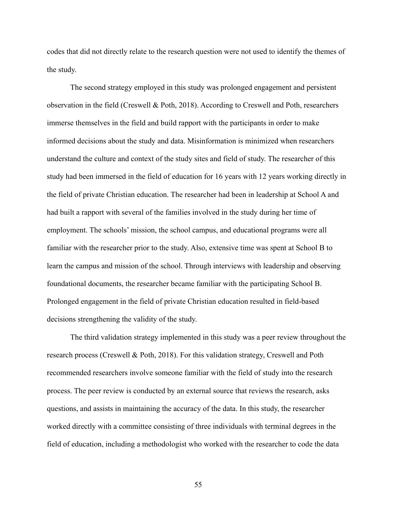codes that did not directly relate to the research question were not used to identify the themes of the study.

The second strategy employed in this study was prolonged engagement and persistent observation in the field (Creswell & Poth, 2018). According to Creswell and Poth, researchers immerse themselves in the field and build rapport with the participants in order to make informed decisions about the study and data. Misinformation is minimized when researchers understand the culture and context of the study sites and field of study. The researcher of this study had been immersed in the field of education for 16 years with 12 years working directly in the field of private Christian education. The researcher had been in leadership at School A and had built a rapport with several of the families involved in the study during her time of employment. The schools' mission, the school campus, and educational programs were all familiar with the researcher prior to the study. Also, extensive time was spent at School B to learn the campus and mission of the school. Through interviews with leadership and observing foundational documents, the researcher became familiar with the participating School B. Prolonged engagement in the field of private Christian education resulted in field-based decisions strengthening the validity of the study.

The third validation strategy implemented in this study was a peer review throughout the research process (Creswell & Poth, 2018). For this validation strategy, Creswell and Poth recommended researchers involve someone familiar with the field of study into the research process. The peer review is conducted by an external source that reviews the research, asks questions, and assists in maintaining the accuracy of the data. In this study, the researcher worked directly with a committee consisting of three individuals with terminal degrees in the field of education, including a methodologist who worked with the researcher to code the data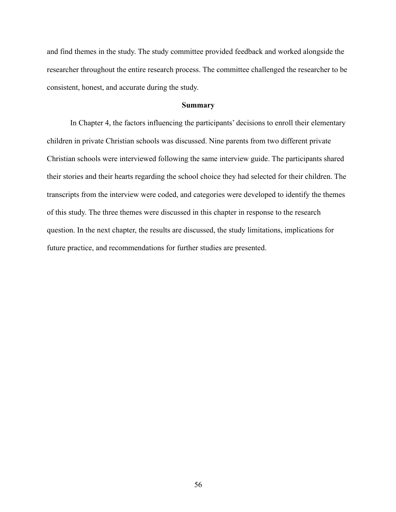and find themes in the study. The study committee provided feedback and worked alongside the researcher throughout the entire research process. The committee challenged the researcher to be consistent, honest, and accurate during the study.

## **Summary**

In Chapter 4, the factors influencing the participants' decisions to enroll their elementary children in private Christian schools was discussed. Nine parents from two different private Christian schools were interviewed following the same interview guide. The participants shared their stories and their hearts regarding the school choice they had selected for their children. The transcripts from the interview were coded, and categories were developed to identify the themes of this study. The three themes were discussed in this chapter in response to the research question. In the next chapter, the results are discussed, the study limitations, implications for future practice, and recommendations for further studies are presented.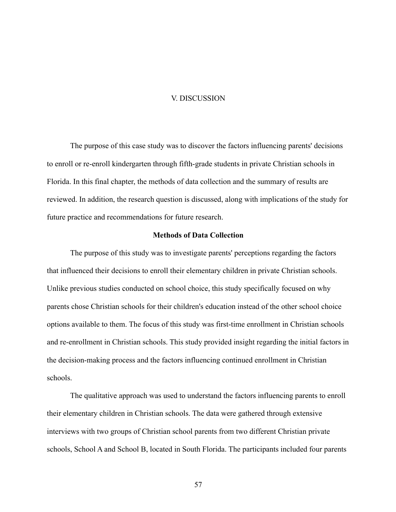#### V. DISCUSSION

The purpose of this case study was to discover the factors influencing parents' decisions to enroll or re-enroll kindergarten through fifth-grade students in private Christian schools in Florida. In this final chapter, the methods of data collection and the summary of results are reviewed. In addition, the research question is discussed, along with implications of the study for future practice and recommendations for future research.

# **Methods of Data Collection**

The purpose of this study was to investigate parents' perceptions regarding the factors that influenced their decisions to enroll their elementary children in private Christian schools. Unlike previous studies conducted on school choice, this study specifically focused on why parents chose Christian schools for their children's education instead of the other school choice options available to them. The focus of this study was first-time enrollment in Christian schools and re-enrollment in Christian schools. This study provided insight regarding the initial factors in the decision-making process and the factors influencing continued enrollment in Christian schools.

The qualitative approach was used to understand the factors influencing parents to enroll their elementary children in Christian schools. The data were gathered through extensive interviews with two groups of Christian school parents from two different Christian private schools, School A and School B, located in South Florida. The participants included four parents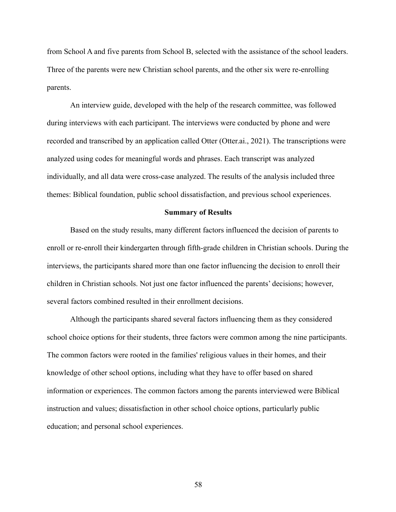from School A and five parents from School B, selected with the assistance of the school leaders. Three of the parents were new Christian school parents, and the other six were re-enrolling parents.

An interview guide, developed with the help of the research committee, was followed during interviews with each participant. The interviews were conducted by phone and were recorded and transcribed by an application called Otter (Otter.ai., 2021). The transcriptions were analyzed using codes for meaningful words and phrases. Each transcript was analyzed individually, and all data were cross-case analyzed. The results of the analysis included three themes: Biblical foundation, public school dissatisfaction, and previous school experiences.

#### **Summary of Results**

Based on the study results, many different factors influenced the decision of parents to enroll or re-enroll their kindergarten through fifth-grade children in Christian schools. During the interviews, the participants shared more than one factor influencing the decision to enroll their children in Christian schools. Not just one factor influenced the parents' decisions; however, several factors combined resulted in their enrollment decisions.

Although the participants shared several factors influencing them as they considered school choice options for their students, three factors were common among the nine participants. The common factors were rooted in the families' religious values in their homes, and their knowledge of other school options, including what they have to offer based on shared information or experiences. The common factors among the parents interviewed were Biblical instruction and values; dissatisfaction in other school choice options, particularly public education; and personal school experiences.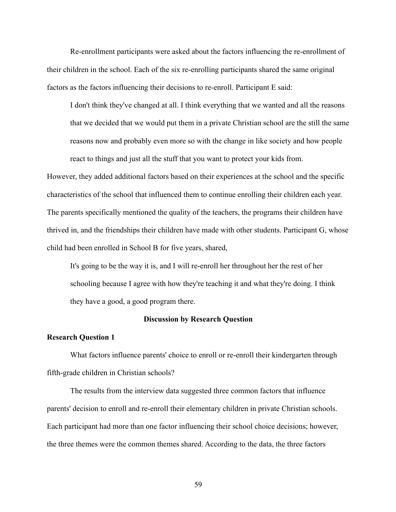Re-enrollment participants were asked about the factors influencing the re-enrollment of their children in the school. Each of the six re-enrolling participants shared the same original factors as the factors influencing their decisions to re-enroll. Participant E said:

I don't think they've changed at all. I think everything that we wanted and all the reasons that we decided that we would put them in a private Christian school are the still the same reasons now and probably even more so with the change in like society and how people react to things and just all the stuff that you want to protect your kids from.

However, they added additional factors based on their experiences at the school and the specific characteristics of the school that influenced them to continue enrolling their children each year. The parents specifically mentioned the quality of the teachers, the programs their children have thrived in, and the friendships their children have made with other students. Participant G, whose child had been enrolled in School B for five years, shared,

It's going to be the way it is, and I will re-enroll her throughout her the rest of her schooling because I agree with how they're teaching it and what they're doing. I think they have a good, a good program there.

## **Discussion by Research Question**

### **Research Question 1**

What factors influence parents' choice to enroll or re-enroll their kindergarten through fifth-grade children in Christian schools?

The results from the interview data suggested three common factors that influence parents' decision to enroll and re-enroll their elementary children in private Christian schools. Each participant had more than one factor influencing their school choice decisions; however, the three themes were the common themes shared. According to the data, the three factors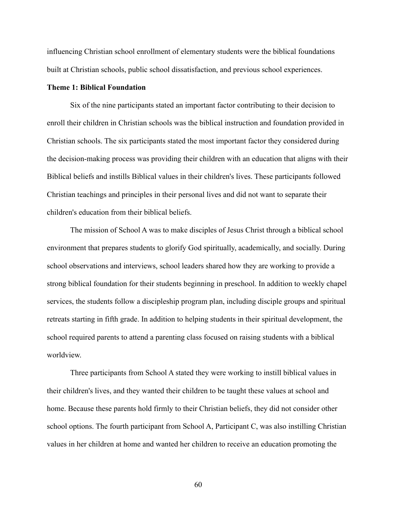influencing Christian school enrollment of elementary students were the biblical foundations built at Christian schools, public school dissatisfaction, and previous school experiences.

## **Theme 1: Biblical Foundation**

Six of the nine participants stated an important factor contributing to their decision to enroll their children in Christian schools was the biblical instruction and foundation provided in Christian schools. The six participants stated the most important factor they considered during the decision-making process was providing their children with an education that aligns with their Biblical beliefs and instills Biblical values in their children's lives. These participants followed Christian teachings and principles in their personal lives and did not want to separate their children's education from their biblical beliefs.

The mission of School A was to make disciples of Jesus Christ through a biblical school environment that prepares students to glorify God spiritually, academically, and socially. During school observations and interviews, school leaders shared how they are working to provide a strong biblical foundation for their students beginning in preschool. In addition to weekly chapel services, the students follow a discipleship program plan, including disciple groups and spiritual retreats starting in fifth grade. In addition to helping students in their spiritual development, the school required parents to attend a parenting class focused on raising students with a biblical worldview.

Three participants from School A stated they were working to instill biblical values in their children's lives, and they wanted their children to be taught these values at school and home. Because these parents hold firmly to their Christian beliefs, they did not consider other school options. The fourth participant from School A, Participant C, was also instilling Christian values in her children at home and wanted her children to receive an education promoting the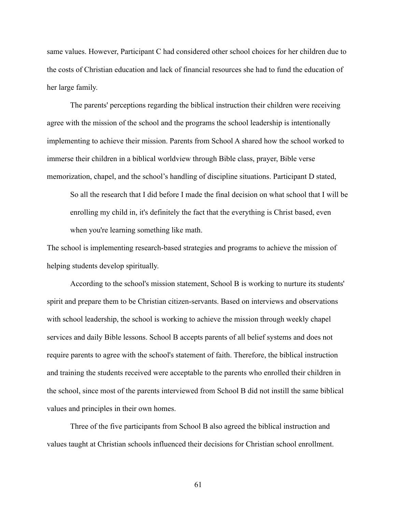same values. However, Participant C had considered other school choices for her children due to the costs of Christian education and lack of financial resources she had to fund the education of her large family.

The parents' perceptions regarding the biblical instruction their children were receiving agree with the mission of the school and the programs the school leadership is intentionally implementing to achieve their mission. Parents from School A shared how the school worked to immerse their children in a biblical worldview through Bible class, prayer, Bible verse memorization, chapel, and the school's handling of discipline situations. Participant D stated,

So all the research that I did before I made the final decision on what school that I will be enrolling my child in, it's definitely the fact that the everything is Christ based, even when you're learning something like math.

The school is implementing research-based strategies and programs to achieve the mission of helping students develop spiritually.

According to the school's mission statement, School B is working to nurture its students' spirit and prepare them to be Christian citizen-servants. Based on interviews and observations with school leadership, the school is working to achieve the mission through weekly chapel services and daily Bible lessons. School B accepts parents of all belief systems and does not require parents to agree with the school's statement of faith. Therefore, the biblical instruction and training the students received were acceptable to the parents who enrolled their children in the school, since most of the parents interviewed from School B did not instill the same biblical values and principles in their own homes.

Three of the five participants from School B also agreed the biblical instruction and values taught at Christian schools influenced their decisions for Christian school enrollment.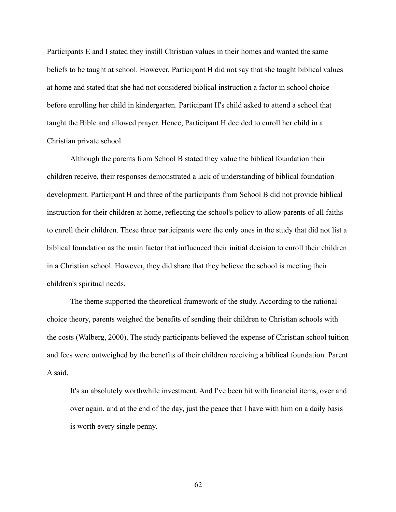Participants E and I stated they instill Christian values in their homes and wanted the same beliefs to be taught at school. However, Participant H did not say that she taught biblical values at home and stated that she had not considered biblical instruction a factor in school choice before enrolling her child in kindergarten. Participant H's child asked to attend a school that taught the Bible and allowed prayer. Hence, Participant H decided to enroll her child in a Christian private school.

Although the parents from School B stated they value the biblical foundation their children receive, their responses demonstrated a lack of understanding of biblical foundation development. Participant H and three of the participants from School B did not provide biblical instruction for their children at home, reflecting the school's policy to allow parents of all faiths to enroll their children. These three participants were the only ones in the study that did not list a biblical foundation as the main factor that influenced their initial decision to enroll their children in a Christian school. However, they did share that they believe the school is meeting their children's spiritual needs.

The theme supported the theoretical framework of the study. According to the rational choice theory, parents weighed the benefits of sending their children to Christian schools with the costs (Walberg, 2000). The study participants believed the expense of Christian school tuition and fees were outweighed by the benefits of their children receiving a biblical foundation. Parent A said,

It's an absolutely worthwhile investment. And I've been hit with financial items, over and over again, and at the end of the day, just the peace that I have with him on a daily basis is worth every single penny.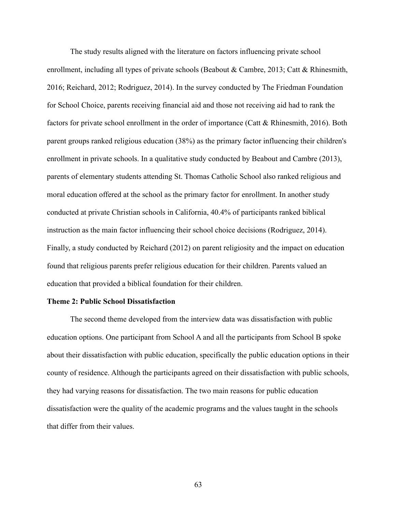The study results aligned with the literature on factors influencing private school enrollment, including all types of private schools (Beabout & Cambre, 2013; Catt & Rhinesmith, 2016; Reichard, 2012; Rodriguez, 2014). In the survey conducted by The Friedman Foundation for School Choice, parents receiving financial aid and those not receiving aid had to rank the factors for private school enrollment in the order of importance (Catt & Rhinesmith, 2016). Both parent groups ranked religious education (38%) as the primary factor influencing their children's enrollment in private schools. In a qualitative study conducted by Beabout and Cambre (2013), parents of elementary students attending St. Thomas Catholic School also ranked religious and moral education offered at the school as the primary factor for enrollment. In another study conducted at private Christian schools in California, 40.4% of participants ranked biblical instruction as the main factor influencing their school choice decisions (Rodriguez, 2014). Finally, a study conducted by Reichard (2012) on parent religiosity and the impact on education found that religious parents prefer religious education for their children. Parents valued an education that provided a biblical foundation for their children.

#### **Theme 2: Public School Dissatisfaction**

The second theme developed from the interview data was dissatisfaction with public education options. One participant from School A and all the participants from School B spoke about their dissatisfaction with public education, specifically the public education options in their county of residence. Although the participants agreed on their dissatisfaction with public schools, they had varying reasons for dissatisfaction. The two main reasons for public education dissatisfaction were the quality of the academic programs and the values taught in the schools that differ from their values.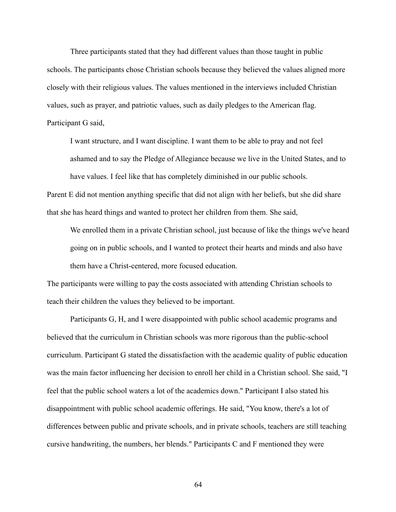Three participants stated that they had different values than those taught in public schools. The participants chose Christian schools because they believed the values aligned more closely with their religious values. The values mentioned in the interviews included Christian values, such as prayer, and patriotic values, such as daily pledges to the American flag. Participant G said,

I want structure, and I want discipline. I want them to be able to pray and not feel ashamed and to say the Pledge of Allegiance because we live in the United States, and to have values. I feel like that has completely diminished in our public schools.

Parent E did not mention anything specific that did not align with her beliefs, but she did share that she has heard things and wanted to protect her children from them. She said,

We enrolled them in a private Christian school, just because of like the things we've heard going on in public schools, and I wanted to protect their hearts and minds and also have them have a Christ-centered, more focused education.

The participants were willing to pay the costs associated with attending Christian schools to teach their children the values they believed to be important.

Participants G, H, and I were disappointed with public school academic programs and believed that the curriculum in Christian schools was more rigorous than the public-school curriculum. Participant G stated the dissatisfaction with the academic quality of public education was the main factor influencing her decision to enroll her child in a Christian school. She said, "I feel that the public school waters a lot of the academics down." Participant I also stated his disappointment with public school academic offerings. He said, "You know, there's a lot of differences between public and private schools, and in private schools, teachers are still teaching cursive handwriting, the numbers, her blends." Participants C and F mentioned they were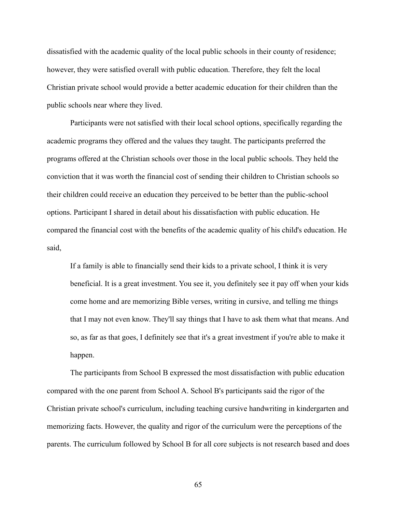dissatisfied with the academic quality of the local public schools in their county of residence; however, they were satisfied overall with public education. Therefore, they felt the local Christian private school would provide a better academic education for their children than the public schools near where they lived.

Participants were not satisfied with their local school options, specifically regarding the academic programs they offered and the values they taught. The participants preferred the programs offered at the Christian schools over those in the local public schools. They held the conviction that it was worth the financial cost of sending their children to Christian schools so their children could receive an education they perceived to be better than the public-school options. Participant I shared in detail about his dissatisfaction with public education. He compared the financial cost with the benefits of the academic quality of his child's education. He said,

If a family is able to financially send their kids to a private school, I think it is very beneficial. It is a great investment. You see it, you definitely see it pay off when your kids come home and are memorizing Bible verses, writing in cursive, and telling me things that I may not even know. They'll say things that I have to ask them what that means. And so, as far as that goes, I definitely see that it's a great investment if you're able to make it happen.

The participants from School B expressed the most dissatisfaction with public education compared with the one parent from School A. School B's participants said the rigor of the Christian private school's curriculum, including teaching cursive handwriting in kindergarten and memorizing facts. However, the quality and rigor of the curriculum were the perceptions of the parents. The curriculum followed by School B for all core subjects is not research based and does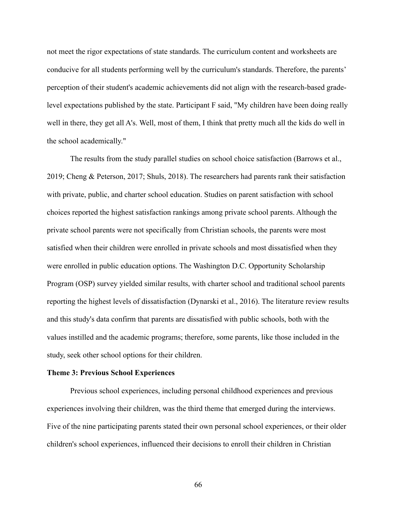not meet the rigor expectations of state standards. The curriculum content and worksheets are conducive for all students performing well by the curriculum's standards. Therefore, the parents' perception of their student's academic achievements did not align with the research-based gradelevel expectations published by the state. Participant F said, "My children have been doing really well in there, they get all A's. Well, most of them, I think that pretty much all the kids do well in the school academically."

The results from the study parallel studies on school choice satisfaction (Barrows et al., 2019; Cheng & Peterson, 2017; Shuls, 2018). The researchers had parents rank their satisfaction with private, public, and charter school education. Studies on parent satisfaction with school choices reported the highest satisfaction rankings among private school parents. Although the private school parents were not specifically from Christian schools, the parents were most satisfied when their children were enrolled in private schools and most dissatisfied when they were enrolled in public education options. The Washington D.C. Opportunity Scholarship Program (OSP) survey yielded similar results, with charter school and traditional school parents reporting the highest levels of dissatisfaction (Dynarski et al., 2016). The literature review results and this study's data confirm that parents are dissatisfied with public schools, both with the values instilled and the academic programs; therefore, some parents, like those included in the study, seek other school options for their children.

## **Theme 3: Previous School Experiences**

Previous school experiences, including personal childhood experiences and previous experiences involving their children, was the third theme that emerged during the interviews. Five of the nine participating parents stated their own personal school experiences, or their older children's school experiences, influenced their decisions to enroll their children in Christian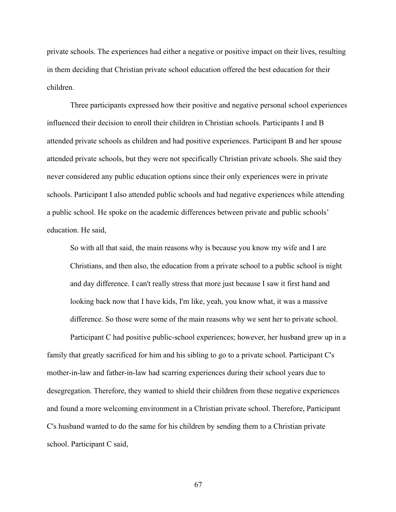private schools. The experiences had either a negative or positive impact on their lives, resulting in them deciding that Christian private school education offered the best education for their children.

Three participants expressed how their positive and negative personal school experiences influenced their decision to enroll their children in Christian schools. Participants I and B attended private schools as children and had positive experiences. Participant B and her spouse attended private schools, but they were not specifically Christian private schools. She said they never considered any public education options since their only experiences were in private schools. Participant I also attended public schools and had negative experiences while attending a public school. He spoke on the academic differences between private and public schools' education. He said,

So with all that said, the main reasons why is because you know my wife and I are Christians, and then also, the education from a private school to a public school is night and day difference. I can't really stress that more just because I saw it first hand and looking back now that I have kids, I'm like, yeah, you know what, it was a massive difference. So those were some of the main reasons why we sent her to private school.

Participant C had positive public-school experiences; however, her husband grew up in a family that greatly sacrificed for him and his sibling to go to a private school. Participant C's mother-in-law and father-in-law had scarring experiences during their school years due to desegregation. Therefore, they wanted to shield their children from these negative experiences and found a more welcoming environment in a Christian private school. Therefore, Participant C's husband wanted to do the same for his children by sending them to a Christian private school. Participant C said,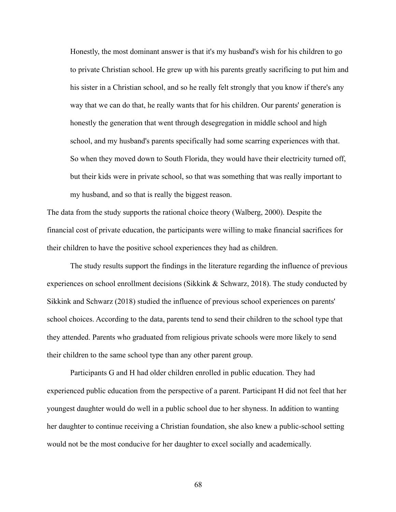Honestly, the most dominant answer is that it's my husband's wish for his children to go to private Christian school. He grew up with his parents greatly sacrificing to put him and his sister in a Christian school, and so he really felt strongly that you know if there's any way that we can do that, he really wants that for his children. Our parents' generation is honestly the generation that went through desegregation in middle school and high school, and my husband's parents specifically had some scarring experiences with that. So when they moved down to South Florida, they would have their electricity turned off, but their kids were in private school, so that was something that was really important to my husband, and so that is really the biggest reason.

The data from the study supports the rational choice theory (Walberg, 2000). Despite the financial cost of private education, the participants were willing to make financial sacrifices for their children to have the positive school experiences they had as children.

The study results support the findings in the literature regarding the influence of previous experiences on school enrollment decisions (Sikkink & Schwarz, 2018). The study conducted by Sikkink and Schwarz (2018) studied the influence of previous school experiences on parents' school choices. According to the data, parents tend to send their children to the school type that they attended. Parents who graduated from religious private schools were more likely to send their children to the same school type than any other parent group.

Participants G and H had older children enrolled in public education. They had experienced public education from the perspective of a parent. Participant H did not feel that her youngest daughter would do well in a public school due to her shyness. In addition to wanting her daughter to continue receiving a Christian foundation, she also knew a public-school setting would not be the most conducive for her daughter to excel socially and academically.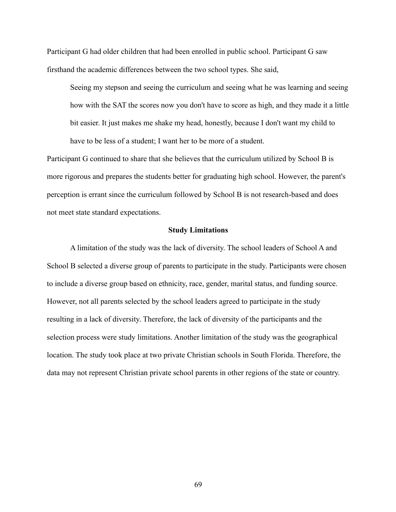Participant G had older children that had been enrolled in public school. Participant G saw firsthand the academic differences between the two school types. She said,

Seeing my stepson and seeing the curriculum and seeing what he was learning and seeing how with the SAT the scores now you don't have to score as high, and they made it a little bit easier. It just makes me shake my head, honestly, because I don't want my child to have to be less of a student; I want her to be more of a student.

Participant G continued to share that she believes that the curriculum utilized by School B is more rigorous and prepares the students better for graduating high school. However, the parent's perception is errant since the curriculum followed by School B is not research-based and does not meet state standard expectations.

#### **Study Limitations**

A limitation of the study was the lack of diversity. The school leaders of School A and School B selected a diverse group of parents to participate in the study. Participants were chosen to include a diverse group based on ethnicity, race, gender, marital status, and funding source. However, not all parents selected by the school leaders agreed to participate in the study resulting in a lack of diversity. Therefore, the lack of diversity of the participants and the selection process were study limitations. Another limitation of the study was the geographical location. The study took place at two private Christian schools in South Florida. Therefore, the data may not represent Christian private school parents in other regions of the state or country.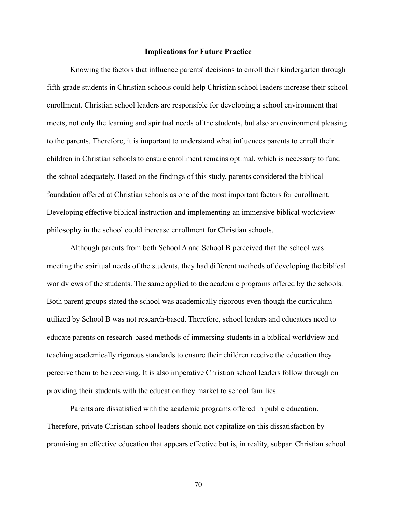## **Implications for Future Practice**

Knowing the factors that influence parents' decisions to enroll their kindergarten through fifth-grade students in Christian schools could help Christian school leaders increase their school enrollment. Christian school leaders are responsible for developing a school environment that meets, not only the learning and spiritual needs of the students, but also an environment pleasing to the parents. Therefore, it is important to understand what influences parents to enroll their children in Christian schools to ensure enrollment remains optimal, which is necessary to fund the school adequately. Based on the findings of this study, parents considered the biblical foundation offered at Christian schools as one of the most important factors for enrollment. Developing effective biblical instruction and implementing an immersive biblical worldview philosophy in the school could increase enrollment for Christian schools.

Although parents from both School A and School B perceived that the school was meeting the spiritual needs of the students, they had different methods of developing the biblical worldviews of the students. The same applied to the academic programs offered by the schools. Both parent groups stated the school was academically rigorous even though the curriculum utilized by School B was not research-based. Therefore, school leaders and educators need to educate parents on research-based methods of immersing students in a biblical worldview and teaching academically rigorous standards to ensure their children receive the education they perceive them to be receiving. It is also imperative Christian school leaders follow through on providing their students with the education they market to school families.

Parents are dissatisfied with the academic programs offered in public education. Therefore, private Christian school leaders should not capitalize on this dissatisfaction by promising an effective education that appears effective but is, in reality, subpar. Christian school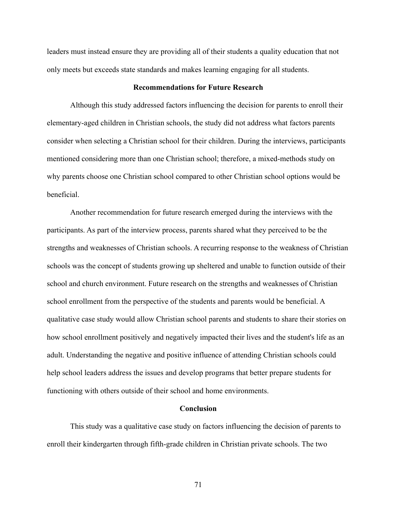leaders must instead ensure they are providing all of their students a quality education that not only meets but exceeds state standards and makes learning engaging for all students.

## **Recommendations for Future Research**

Although this study addressed factors influencing the decision for parents to enroll their elementary-aged children in Christian schools, the study did not address what factors parents consider when selecting a Christian school for their children. During the interviews, participants mentioned considering more than one Christian school; therefore, a mixed-methods study on why parents choose one Christian school compared to other Christian school options would be beneficial.

Another recommendation for future research emerged during the interviews with the participants. As part of the interview process, parents shared what they perceived to be the strengths and weaknesses of Christian schools. A recurring response to the weakness of Christian schools was the concept of students growing up sheltered and unable to function outside of their school and church environment. Future research on the strengths and weaknesses of Christian school enrollment from the perspective of the students and parents would be beneficial. A qualitative case study would allow Christian school parents and students to share their stories on how school enrollment positively and negatively impacted their lives and the student's life as an adult. Understanding the negative and positive influence of attending Christian schools could help school leaders address the issues and develop programs that better prepare students for functioning with others outside of their school and home environments.

## **Conclusion**

This study was a qualitative case study on factors influencing the decision of parents to enroll their kindergarten through fifth-grade children in Christian private schools. The two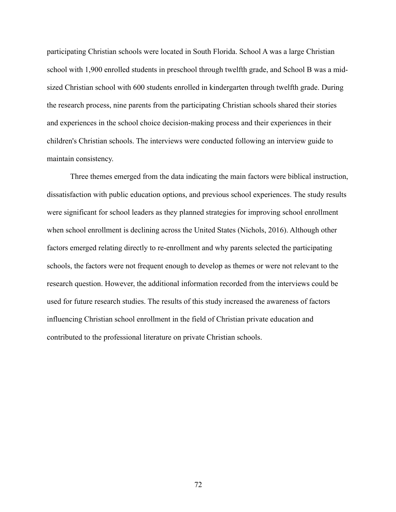participating Christian schools were located in South Florida. School A was a large Christian school with 1,900 enrolled students in preschool through twelfth grade, and School B was a midsized Christian school with 600 students enrolled in kindergarten through twelfth grade. During the research process, nine parents from the participating Christian schools shared their stories and experiences in the school choice decision-making process and their experiences in their children's Christian schools. The interviews were conducted following an interview guide to maintain consistency.

Three themes emerged from the data indicating the main factors were biblical instruction, dissatisfaction with public education options, and previous school experiences. The study results were significant for school leaders as they planned strategies for improving school enrollment when school enrollment is declining across the United States (Nichols, 2016). Although other factors emerged relating directly to re-enrollment and why parents selected the participating schools, the factors were not frequent enough to develop as themes or were not relevant to the research question. However, the additional information recorded from the interviews could be used for future research studies. The results of this study increased the awareness of factors influencing Christian school enrollment in the field of Christian private education and contributed to the professional literature on private Christian schools.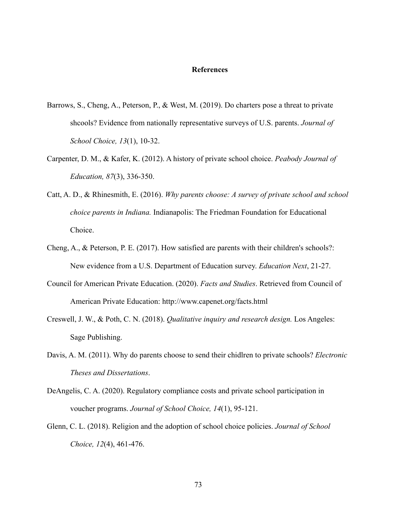#### **References**

- Barrows, S., Cheng, A., Peterson, P., & West, M. (2019). Do charters pose a threat to private shcools? Evidence from nationally representative surveys of U.S. parents. *Journal of School Choice, 13*(1), 10-32.
- Carpenter, D. M., & Kafer, K. (2012). A history of private school choice. *Peabody Journal of Education, 87*(3), 336-350.
- Catt, A. D., & Rhinesmith, E. (2016). *Why parents choose: A survey of private school and school choice parents in Indiana.* Indianapolis: The Friedman Foundation for Educational Choice.
- Cheng, A., & Peterson, P. E. (2017). How satisfied are parents with their children's schools?: New evidence from a U.S. Department of Education survey. *Education Next*, 21-27.
- Council for American Private Education. (2020). *Facts and Studies*. Retrieved from Council of American Private Education: http://www.capenet.org/facts.html
- Creswell, J. W., & Poth, C. N. (2018). *Qualitative inquiry and research design.* Los Angeles: Sage Publishing.
- Davis, A. M. (2011). Why do parents choose to send their chidlren to private schools? *Electronic Theses and Dissertations*.
- DeAngelis, C. A. (2020). Regulatory compliance costs and private school participation in voucher programs. *Journal of School Choice, 14*(1), 95-121.
- Glenn, C. L. (2018). Religion and the adoption of school choice policies. *Journal of School Choice, 12*(4), 461-476.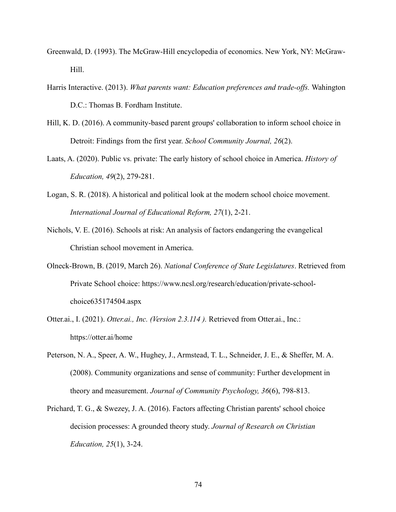- Greenwald, D. (1993). The McGraw-Hill encyclopedia of economics. New York, NY: McGraw-Hill.
- Harris Interactive. (2013). *What parents want: Education preferences and trade-offs.* Wahington D.C.: Thomas B. Fordham Institute.
- Hill, K. D. (2016). A community-based parent groups' collaboration to inform school choice in Detroit: Findings from the first year. *School Community Journal, 26*(2).
- Laats, A. (2020). Public vs. private: The early history of school choice in America. *History of Education, 49*(2), 279-281.
- Logan, S. R. (2018). A historical and political look at the modern school choice movement. *International Journal of Educational Reform, 27*(1), 2-21.
- Nichols, V. E. (2016). Schools at risk: An analysis of factors endangering the evangelical Christian school movement in America.
- Olneck-Brown, B. (2019, March 26). *National Conference of State Legislatures*. Retrieved from Private School choice: https://www.ncsl.org/research/education/private-schoolchoice635174504.aspx
- Otter.ai., I. (2021). *Otter.ai., Inc. (Version 2.3.114 ).* Retrieved from Otter.ai., Inc.: https://otter.ai/home
- Peterson, N. A., Speer, A. W., Hughey, J., Armstead, T. L., Schneider, J. E., & Sheffer, M. A. (2008). Community organizations and sense of community: Further development in theory and measurement. *Journal of Community Psychology, 36*(6), 798-813.
- Prichard, T. G., & Swezey, J. A. (2016). Factors affecting Christian parents' school choice decision processes: A grounded theory study. *Journal of Research on Christian Education, 25*(1), 3-24.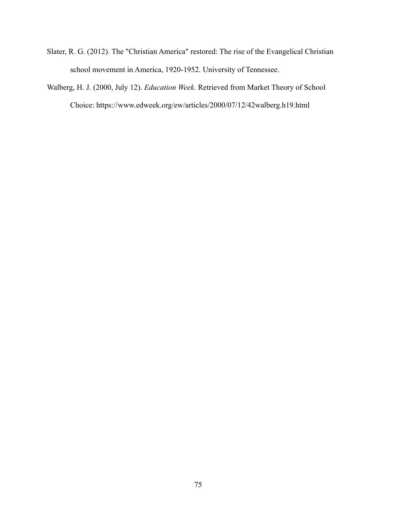- Slater, R. G. (2012). The "Christian America" restored: The rise of the Evangelical Christian school movement in America, 1920-1952. University of Tennessee.
- Walberg, H. J. (2000, July 12). *Education Week.* Retrieved from Market Theory of School Choice: https://www.edweek.org/ew/articles/2000/07/12/42walberg.h19.html